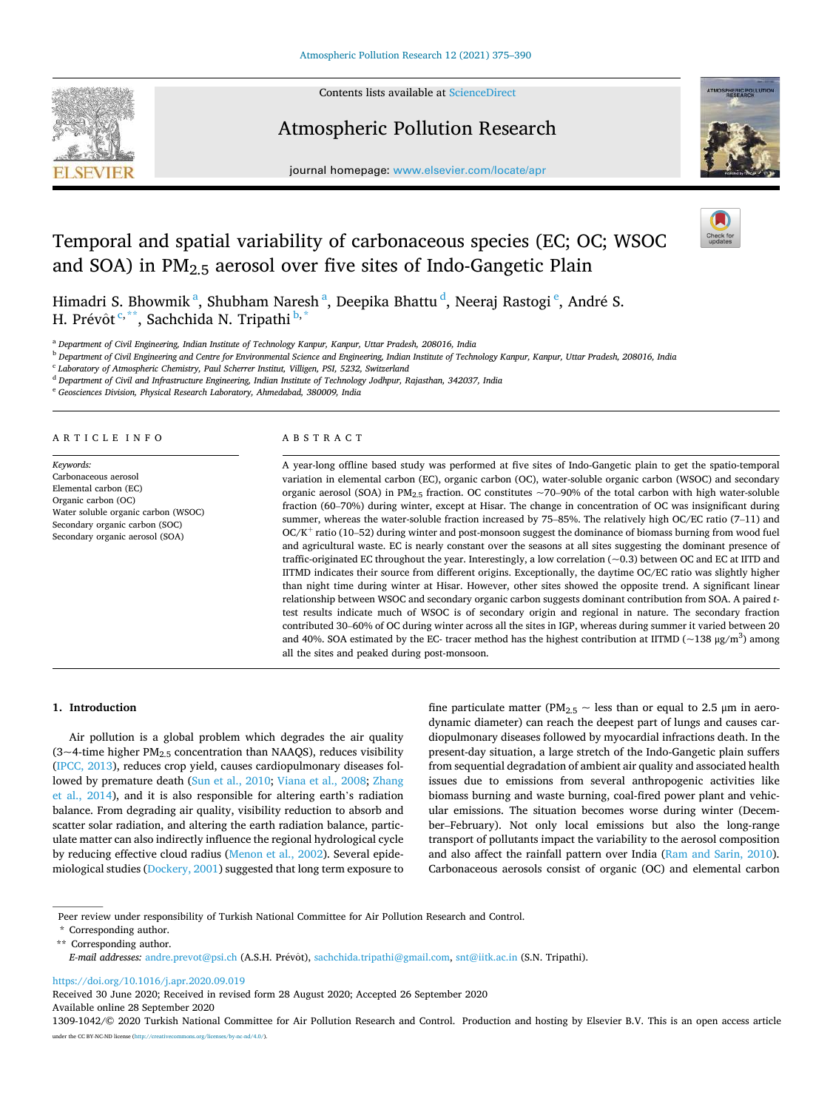

Contents lists available at [ScienceDirect](www.sciencedirect.com/science/journal/13091042)

# Atmospheric Pollution Research



journal homepage: [www.elsevier.com/locate/apr](https://www.elsevier.com/locate/apr) 

# Temporal and spatial variability of carbonaceous species (EC; OC; WSOC and SOA) in  $PM<sub>2.5</sub>$  aerosol over five sites of Indo-Gangetic Plain



Himadri S. Bhowmik $\mathrm{^a,}$  Shubham Naresh $\mathrm{^a,}$  Deepika Bhattu $\mathrm{^d,}$  Neeraj Rastogi $\mathrm{^e,}$  André S. H. Prévôt <sup>c,\*\*</sup>, Sachchida N. Tripathi <sup>b,\*</sup>

<sup>a</sup> *Department of Civil Engineering, Indian Institute of Technology Kanpur, Kanpur, Uttar Pradesh, 208016, India* 

<sup>b</sup> *Department of Civil Engineering and Centre for Environmental Science and Engineering, Indian Institute of Technology Kanpur, Kanpur, Uttar Pradesh, 208016, India* 

c *Laboratory of Atmospheric Chemistry, Paul Scherrer Institut, Villigen, PSI, 5232, Switzerland* 

<sup>d</sup> *Department of Civil and Infrastructure Engineering, Indian Institute of Technology Jodhpur, Rajasthan, 342037, India* 

<sup>e</sup> *Geosciences Division, Physical Research Laboratory, Ahmedabad, 380009, India* 

#### A R T I C L E I N E O

*Keywords:*  Carbonaceous aerosol Elemental carbon (EC) Organic carbon (OC) Water soluble organic carbon (WSOC) Secondary organic carbon (SOC) Secondary organic aerosol (SOA)

## ABSTRACT

A year-long offline based study was performed at five sites of Indo-Gangetic plain to get the spatio-temporal variation in elemental carbon (EC), organic carbon (OC), water-soluble organic carbon (WSOC) and secondary organic aerosol (SOA) in PM<sub>2.5</sub> fraction. OC constitutes  $\sim$ 70–90% of the total carbon with high water-soluble fraction (60–70%) during winter, except at Hisar. The change in concentration of OC was insignificant during summer, whereas the water-soluble fraction increased by 75–85%. The relatively high OC/EC ratio (7–11) and OC/K<sup>+</sup> ratio (10–52) during winter and post-monsoon suggest the dominance of biomass burning from wood fuel and agricultural waste. EC is nearly constant over the seasons at all sites suggesting the dominant presence of traffic-originated EC throughout the year. Interestingly, a low correlation (~0.3) between OC and EC at IITD and IITMD indicates their source from different origins. Exceptionally, the daytime OC/EC ratio was slightly higher than night time during winter at Hisar. However, other sites showed the opposite trend. A significant linear relationship between WSOC and secondary organic carbon suggests dominant contribution from SOA. A paired *t*test results indicate much of WSOC is of secondary origin and regional in nature. The secondary fraction contributed 30–60% of OC during winter across all the sites in IGP, whereas during summer it varied between 20 and 40%. SOA estimated by the EC- tracer method has the highest contribution at IITMD ( $\sim$ 138 µg/m<sup>3</sup>) among all the sites and peaked during post-monsoon.

# **1. Introduction**

Air pollution is a global problem which degrades the air quality (3~4-time higher  $PM_{2.5}$  concentration than NAAQS), reduces visibility ([IPCC, 2013\)](#page-14-0), reduces crop yield, causes cardiopulmonary diseases followed by premature death [\(Sun et al., 2010;](#page-14-0) [Viana et al., 2008;](#page-15-0) [Zhang](#page-15-0)  [et al., 2014](#page-15-0)), and it is also responsible for altering earth's radiation balance. From degrading air quality, visibility reduction to absorb and scatter solar radiation, and altering the earth radiation balance, particulate matter can also indirectly influence the regional hydrological cycle by reducing effective cloud radius ([Menon et al., 2002](#page-14-0)). Several epidemiological studies [\(Dockery, 2001](#page-13-0)) suggested that long term exposure to fine particulate matter (PM<sub>2.5</sub>  $\sim$  less than or equal to 2.5  $\mu$ m in aerodynamic diameter) can reach the deepest part of lungs and causes cardiopulmonary diseases followed by myocardial infractions death. In the present-day situation, a large stretch of the Indo-Gangetic plain suffers from sequential degradation of ambient air quality and associated health issues due to emissions from several anthropogenic activities like biomass burning and waste burning, coal-fired power plant and vehicular emissions. The situation becomes worse during winter (December–February). Not only local emissions but also the long-range transport of pollutants impact the variability to the aerosol composition and also affect the rainfall pattern over India ([Ram and Sarin, 2010](#page-14-0)). Carbonaceous aerosols consist of organic (OC) and elemental carbon

<https://doi.org/10.1016/j.apr.2020.09.019>

Available online 28 September 2020 Received 30 June 2020; Received in revised form 28 August 2020; Accepted 26 September 2020

Peer review under responsibility of Turkish National Committee for Air Pollution Research and Control.

<sup>\*</sup> Corresponding author.

<sup>\*\*</sup> Corresponding author.

*E-mail addresses: [andre.prevot@psi.ch](mailto:andre.prevot@psi.ch) (A.S.H. Prévôt), [sachchida.tripathi@gmail.com,](mailto:sachchida.tripathi@gmail.com) [snt@iitk.ac.in](mailto:snt@iitk.ac.in) (S.N. Tripathi).* 

<sup>1309-1042/© 2020</sup> Turkish National Committee for Air Pollution Research and Control. Production and hosting by Elsevier B.V. This is an open access article under the CC BY-NC-ND license (http://creativecommons.org/licenses/by-nc-nd/4.0/).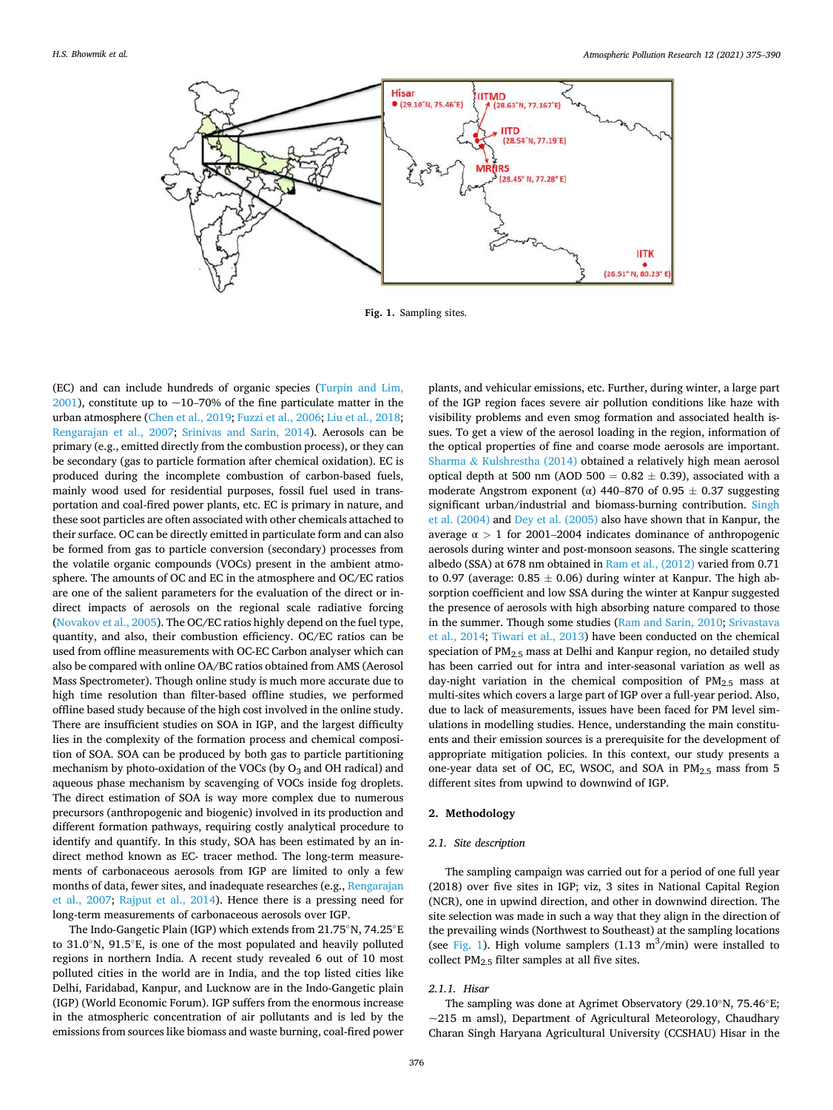

**Fig. 1.** Sampling sites.

(EC) and can include hundreds of organic species ([Turpin and Lim,](#page-15-0)   $2001$ ), constitute up to ~10–70% of the fine particulate matter in the urban atmosphere [\(Chen et al., 2019; Fuzzi et al., 2006;](#page-13-0) [Liu et al., 2018](#page-14-0); [Rengarajan et al., 2007](#page-14-0); [Srinivas and Sarin, 2014\)](#page-14-0). Aerosols can be primary (e.g., emitted directly from the combustion process), or they can be secondary (gas to particle formation after chemical oxidation). EC is produced during the incomplete combustion of carbon-based fuels, mainly wood used for residential purposes, fossil fuel used in transportation and coal-fired power plants, etc. EC is primary in nature, and these soot particles are often associated with other chemicals attached to their surface. OC can be directly emitted in particulate form and can also be formed from gas to particle conversion (secondary) processes from the volatile organic compounds (VOCs) present in the ambient atmosphere. The amounts of OC and EC in the atmosphere and OC/EC ratios are one of the salient parameters for the evaluation of the direct or indirect impacts of aerosols on the regional scale radiative forcing ([Novakov et al., 2005](#page-14-0)). The OC/EC ratios highly depend on the fuel type, quantity, and also, their combustion efficiency. OC/EC ratios can be used from offline measurements with OC-EC Carbon analyser which can also be compared with online OA/BC ratios obtained from AMS (Aerosol Mass Spectrometer). Though online study is much more accurate due to high time resolution than filter-based offline studies, we performed offline based study because of the high cost involved in the online study. There are insufficient studies on SOA in IGP, and the largest difficulty lies in the complexity of the formation process and chemical composition of SOA. SOA can be produced by both gas to particle partitioning mechanism by photo-oxidation of the VOCs (by  $O_3$  and OH radical) and aqueous phase mechanism by scavenging of VOCs inside fog droplets. The direct estimation of SOA is way more complex due to numerous precursors (anthropogenic and biogenic) involved in its production and different formation pathways, requiring costly analytical procedure to identify and quantify. In this study, SOA has been estimated by an indirect method known as EC- tracer method. The long-term measurements of carbonaceous aerosols from IGP are limited to only a few months of data, fewer sites, and inadequate researches (e.g., [Rengarajan](#page-14-0)  [et al., 2007;](#page-14-0) [Rajput et al., 2014](#page-14-0)). Hence there is a pressing need for long-term measurements of carbonaceous aerosols over IGP.

The Indo-Gangetic Plain (IGP) which extends from 21.75◦N, 74.25◦E to 31.0◦N, 91.5◦E, is one of the most populated and heavily polluted regions in northern India. A recent study revealed 6 out of 10 most polluted cities in the world are in India, and the top listed cities like Delhi, Faridabad, Kanpur, and Lucknow are in the Indo-Gangetic plain (IGP) (World Economic Forum). IGP suffers from the enormous increase in the atmospheric concentration of air pollutants and is led by the emissions from sources like biomass and waste burning, coal-fired power

plants, and vehicular emissions, etc. Further, during winter, a large part of the IGP region faces severe air pollution conditions like haze with visibility problems and even smog formation and associated health issues. To get a view of the aerosol loading in the region, information of the optical properties of fine and coarse mode aerosols are important. Sharma & [Kulshrestha \(2014\)](#page-14-0) obtained a relatively high mean aerosol optical depth at 500 nm (AOD 500 =  $0.82 \pm 0.39$ ), associated with a moderate Angstrom exponent (α) 440–870 of 0.95  $\pm$  0.37 suggesting significant urban/industrial and biomass-burning contribution. Singh [et al. \(2004\)](#page-14-0) and [Dey et al. \(2005\)](#page-13-0) also have shown that in Kanpur, the average α *>* 1 for 2001–2004 indicates dominance of anthropogenic aerosols during winter and post-monsoon seasons. The single scattering albedo (SSA) at 678 nm obtained in [Ram et al., \(2012\)](#page-14-0) varied from 0.71 to 0.97 (average: 0.85  $\pm$  0.06) during winter at Kanpur. The high absorption coefficient and low SSA during the winter at Kanpur suggested the presence of aerosols with high absorbing nature compared to those in the summer. Though some studies [\(Ram and Sarin, 2010;](#page-14-0) [Srivastava](#page-14-0)  [et al., 2014](#page-14-0); [Tiwari et al., 2013\)](#page-15-0) have been conducted on the chemical speciation of  $PM_{2.5}$  mass at Delhi and Kanpur region, no detailed study has been carried out for intra and inter-seasonal variation as well as day-night variation in the chemical composition of  $PM_{2.5}$  mass at multi-sites which covers a large part of IGP over a full-year period. Also, due to lack of measurements, issues have been faced for PM level simulations in modelling studies. Hence, understanding the main constituents and their emission sources is a prerequisite for the development of appropriate mitigation policies. In this context, our study presents a one-year data set of OC, EC, WSOC, and SOA in  $PM_{2.5}$  mass from 5 different sites from upwind to downwind of IGP.

# **2. Methodology**

# *2.1. Site description*

The sampling campaign was carried out for a period of one full year (2018) over five sites in IGP; viz, 3 sites in National Capital Region (NCR), one in upwind direction, and other in downwind direction. The site selection was made in such a way that they align in the direction of the prevailing winds (Northwest to Southeast) at the sampling locations (see Fig. 1). High volume samplers  $(1.13 \text{ m}^3/\text{min})$  were installed to collect PM2.5 filter samples at all five sites.

# *2.1.1. Hisar*

The sampling was done at Agrimet Observatory (29.10◦N, 75.46◦E;  $\sim$ 215 m amsl), Department of Agricultural Meteorology, Chaudhary Charan Singh Haryana Agricultural University (CCSHAU) Hisar in the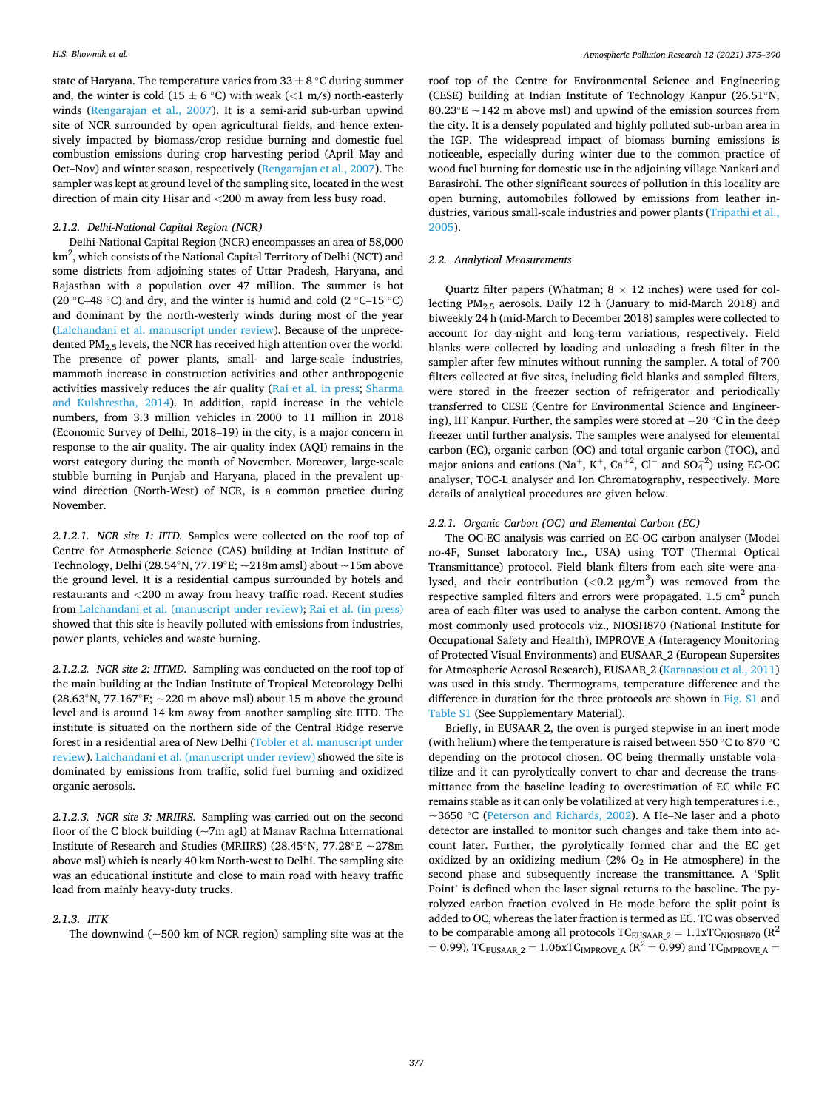state of Haryana. The temperature varies from  $33 \pm 8$  °C during summer and, the winter is cold (15  $\pm$  6 °C) with weak (<1 m/s) north-easterly winds [\(Rengarajan et al., 2007](#page-14-0)). It is a semi-arid sub-urban upwind site of NCR surrounded by open agricultural fields, and hence extensively impacted by biomass/crop residue burning and domestic fuel combustion emissions during crop harvesting period (April–May and Oct–Nov) and winter season, respectively [\(Rengarajan et al., 2007](#page-14-0)). The sampler was kept at ground level of the sampling site, located in the west direction of main city Hisar and *<*200 m away from less busy road.

# *2.1.2. Delhi-National Capital Region (NCR)*

Delhi-National Capital Region (NCR) encompasses an area of 58,000 km<sup>2</sup>, which consists of the National Capital Territory of Delhi (NCT) and some districts from adjoining states of Uttar Pradesh, Haryana, and Rajasthan with a population over 47 million. The summer is hot (20  $\degree$ C–48  $\degree$ C) and dry, and the winter is humid and cold (2  $\degree$ C–15  $\degree$ C) and dominant by the north-westerly winds during most of the year ([Lalchandani et al. manuscript under review\)](#page-14-0). Because of the unprecedented PM<sub>2.5</sub> levels, the NCR has received high attention over the world. The presence of power plants, small- and large-scale industries, mammoth increase in construction activities and other anthropogenic activities massively reduces the air quality ([Rai et al. in press](#page-14-0); [Sharma](#page-14-0)  [and Kulshrestha, 2014](#page-14-0)). In addition, rapid increase in the vehicle numbers, from 3.3 million vehicles in 2000 to 11 million in 2018 (Economic Survey of Delhi, 2018–19) in the city, is a major concern in response to the air quality. The air quality index (AQI) remains in the worst category during the month of November. Moreover, large-scale stubble burning in Punjab and Haryana, placed in the prevalent upwind direction (North-West) of NCR, is a common practice during November.

*2.1.2.1. NCR site 1: IITD.* Samples were collected on the roof top of Centre for Atmospheric Science (CAS) building at Indian Institute of Technology, Delhi (28.54°N, 77.19°E; ~218m amsl) about ~15m above the ground level. It is a residential campus surrounded by hotels and restaurants and *<*200 m away from heavy traffic road. Recent studies from [Lalchandani et al. \(manuscript under review\); Rai et al. \(in press\)](#page-14-0)  showed that this site is heavily polluted with emissions from industries, power plants, vehicles and waste burning.

*2.1.2.2. NCR site 2: IITMD.* Sampling was conducted on the roof top of the main building at the Indian Institute of Tropical Meteorology Delhi (28.63°N, 77.167°E;  $\sim$  220 m above msl) about 15 m above the ground level and is around 14 km away from another sampling site IITD. The institute is situated on the northern side of the Central Ridge reserve forest in a residential area of New Delhi [\(Tobler et al. manuscript under](#page-15-0)  [review](#page-15-0)). [Lalchandani et al. \(manuscript under review\)](#page-14-0) showed the site is dominated by emissions from traffic, solid fuel burning and oxidized organic aerosols.

*2.1.2.3. NCR site 3: MRIIRS.* Sampling was carried out on the second floor of the C block building (~7m agl) at Manav Rachna International Institute of Research and Studies (MRIIRS) (28.45◦N, 77.28◦E ~278m above msl) which is nearly 40 km North-west to Delhi. The sampling site was an educational institute and close to main road with heavy traffic load from mainly heavy-duty trucks.

#### *2.1.3. IITK*

The downwind ( $\sim$ 500 km of NCR region) sampling site was at the

roof top of the Centre for Environmental Science and Engineering (CESE) building at Indian Institute of Technology Kanpur (26.51◦N, 80.23 $\mathrm{E} \sim 142$  m above msl) and upwind of the emission sources from the city. It is a densely populated and highly polluted sub-urban area in the IGP. The widespread impact of biomass burning emissions is noticeable, especially during winter due to the common practice of wood fuel burning for domestic use in the adjoining village Nankari and Barasirohi. The other significant sources of pollution in this locality are open burning, automobiles followed by emissions from leather industries, various small-scale industries and power plants ([Tripathi et al.,](#page-15-0)  [2005\)](#page-15-0).

#### *2.2. Analytical Measurements*

Quartz filter papers (Whatman;  $8 \times 12$  inches) were used for collecting PM2.5 aerosols. Daily 12 h (January to mid-March 2018) and biweekly 24 h (mid-March to December 2018) samples were collected to account for day-night and long-term variations, respectively. Field blanks were collected by loading and unloading a fresh filter in the sampler after few minutes without running the sampler. A total of 700 filters collected at five sites, including field blanks and sampled filters, were stored in the freezer section of refrigerator and periodically transferred to CESE (Centre for Environmental Science and Engineering), IIT Kanpur. Further, the samples were stored at −20 ◦C in the deep freezer until further analysis. The samples were analysed for elemental carbon (EC), organic carbon (OC) and total organic carbon (TOC), and major anions and cations (Na<sup>+</sup>, K<sup>+</sup>, Ca<sup>+2</sup>, Cl<sup>−</sup> and SO<sub>4</sub><sup>2</sup>) using EC-OC analyser, TOC-L analyser and Ion Chromatography, respectively. More details of analytical procedures are given below.

#### *2.2.1. Organic Carbon (OC) and Elemental Carbon (EC)*

The OC-EC analysis was carried on EC-OC carbon analyser (Model no-4F, Sunset laboratory Inc., USA) using TOT (Thermal Optical Transmittance) protocol. Field blank filters from each site were analysed, and their contribution (*<*0.2 μg/m<sup>3</sup> ) was removed from the respective sampled filters and errors were propagated.  $1.5 \text{ cm}^2$  punch area of each filter was used to analyse the carbon content. Among the most commonly used protocols viz., NIOSH870 (National Institute for Occupational Safety and Health), IMPROVE\_A (Interagency Monitoring of Protected Visual Environments) and EUSAAR\_2 (European Supersites for Atmospheric Aerosol Research), EUSAAR\_2 [\(Karanasiou et al., 2011\)](#page-13-0) was used in this study. Thermograms, temperature difference and the difference in duration for the three protocols are shown in Fig. S1 and Table S1 (See Supplementary Material).

Briefly, in EUSAAR\_2, the oven is purged stepwise in an inert mode (with helium) where the temperature is raised between 550 ◦C to 870 ◦C depending on the protocol chosen. OC being thermally unstable volatilize and it can pyrolytically convert to char and decrease the transmittance from the baseline leading to overestimation of EC while EC remains stable as it can only be volatilized at very high temperatures i.e., ~3650 ◦C [\(Peterson and Richards, 2002\)](#page-14-0). A He–Ne laser and a photo detector are installed to monitor such changes and take them into account later. Further, the pyrolytically formed char and the EC get oxidized by an oxidizing medium (2%  $O_2$  in He atmosphere) in the second phase and subsequently increase the transmittance. A 'Split Point' is defined when the laser signal returns to the baseline. The pyrolyzed carbon fraction evolved in He mode before the split point is added to OC, whereas the later fraction is termed as EC. TC was observed to be comparable among all protocols  $\text{TC}_{\text{EUSAAR\_2}} = 1.1\text{xTC}_{\text{NIOSH870}}$   $(\text{R}^2$  $= 0.99$ ), TC<sub>EUSAAR</sub>  $_2 = 1.06$ xTC<sub>IMPROVE</sub> A (R<sup>2</sup> = 0.99) and TC<sub>IMPROVE</sub> A =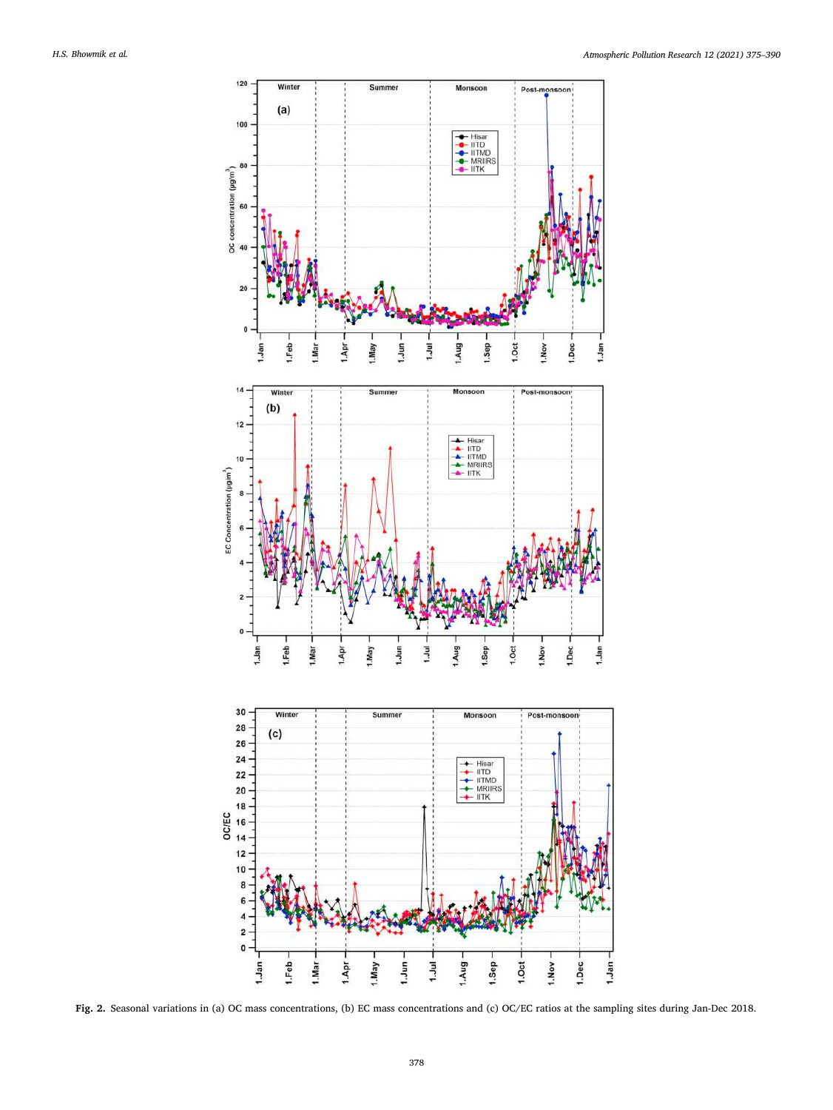<span id="page-3-0"></span>

**Fig. 2.** Seasonal variations in (a) OC mass concentrations, (b) EC mass concentrations and (c) OC/EC ratios at the sampling sites during Jan-Dec 2018.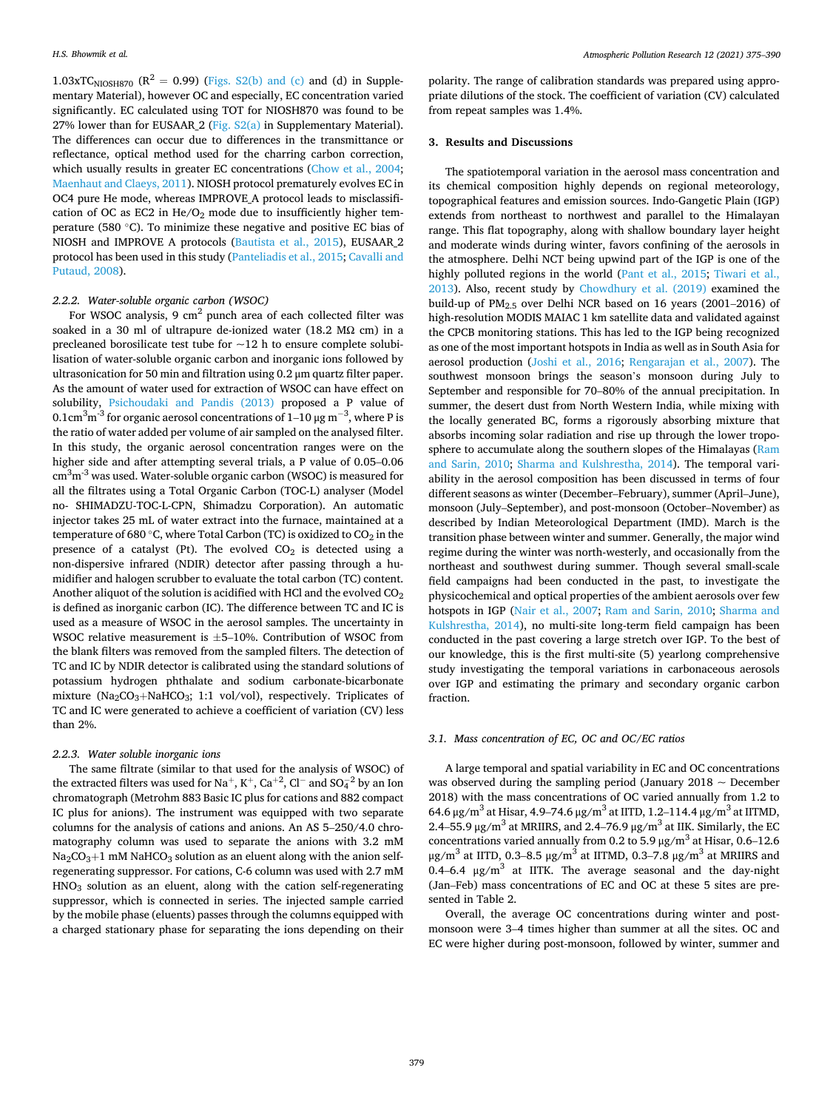1.03xTC<sub>NIOSH870</sub> ( $R^2 = 0.99$ ) (Figs. S2(b) and (c) and (d) in Supplementary Material), however OC and especially, EC concentration varied significantly. EC calculated using TOT for NIOSH870 was found to be 27% lower than for EUSAAR<sub>2</sub> (Fig.  $S2(a)$  in Supplementary Material). The differences can occur due to differences in the transmittance or reflectance, optical method used for the charring carbon correction, which usually results in greater EC concentrations ([Chow et al., 2004](#page-13-0); [Maenhaut and Claeys, 2011\)](#page-14-0). NIOSH protocol prematurely evolves EC in OC4 pure He mode, whereas IMPROVE\_A protocol leads to misclassification of OC as EC2 in  $He/O<sub>2</sub>$  mode due to insufficiently higher temperature (580 ◦C). To minimize these negative and positive EC bias of NIOSH and IMPROVE A protocols [\(Bautista et al., 2015](#page-13-0)), EUSAAR\_2 protocol has been used in this study ([Panteliadis et al., 2015](#page-14-0); [Cavalli and](#page-13-0)  [Putaud, 2008](#page-13-0)).

# *2.2.2. Water-soluble organic carbon (WSOC)*

For WSOC analysis, 9  $\text{cm}^2$  punch area of each collected filter was soaked in a 30 ml of ultrapure de-ionized water (18.2 M $\Omega$  cm) in a precleaned borosilicate test tube for  $\sim$ 12 h to ensure complete solubilisation of water-soluble organic carbon and inorganic ions followed by ultrasonication for 50 min and filtration using 0.2 μm quartz filter paper. As the amount of water used for extraction of WSOC can have effect on solubility, [Psichoudaki and Pandis \(2013\)](#page-14-0) proposed a P value of 0.1cm $^3$ m $^{\text{-3}}$  for organic aerosol concentrations of 1–10 μg m $^{\text{-3}}$ , where P is the ratio of water added per volume of air sampled on the analysed filter. In this study, the organic aerosol concentration ranges were on the higher side and after attempting several trials, a P value of 0.05–0.06  $\rm cm^3m^{\text{-}3}$  was used. Water-soluble organic carbon (WSOC) is measured for all the filtrates using a Total Organic Carbon (TOC-L) analyser (Model no- SHIMADZU-TOC-L-CPN, Shimadzu Corporation). An automatic injector takes 25 mL of water extract into the furnace, maintained at a temperature of 680 °C, where Total Carbon (TC) is oxidized to  $CO_2$  in the presence of a catalyst (Pt). The evolved  $CO<sub>2</sub>$  is detected using a non-dispersive infrared (NDIR) detector after passing through a humidifier and halogen scrubber to evaluate the total carbon (TC) content. Another aliquot of the solution is acidified with HCl and the evolved CO<sub>2</sub> is defined as inorganic carbon (IC). The difference between TC and IC is used as a measure of WSOC in the aerosol samples. The uncertainty in WSOC relative measurement is ±5–10%. Contribution of WSOC from the blank filters was removed from the sampled filters. The detection of TC and IC by NDIR detector is calibrated using the standard solutions of potassium hydrogen phthalate and sodium carbonate-bicarbonate mixture (Na<sub>2</sub>CO<sub>3</sub>+NaHCO<sub>3</sub>; 1:1 vol/vol), respectively. Triplicates of TC and IC were generated to achieve a coefficient of variation (CV) less than 2%.

## *2.2.3. Water soluble inorganic ions*

The same filtrate (similar to that used for the analysis of WSOC) of the extracted filters was used for Na $^+,$  K $^+,$  Ca $^{+2}$ , Cl $^-$  and SO $_4^{-2}$  by an Ion chromatograph (Metrohm 883 Basic IC plus for cations and 882 compact IC plus for anions). The instrument was equipped with two separate columns for the analysis of cations and anions. An AS 5–250/4.0 chromatography column was used to separate the anions with 3.2 mM  $Na<sub>2</sub>CO<sub>3</sub>+1$  mM NaHCO<sub>3</sub> solution as an eluent along with the anion selfregenerating suppressor. For cations, C-6 column was used with 2.7 mM HNO3 solution as an eluent, along with the cation self-regenerating suppressor, which is connected in series. The injected sample carried by the mobile phase (eluents) passes through the columns equipped with a charged stationary phase for separating the ions depending on their

polarity. The range of calibration standards was prepared using appropriate dilutions of the stock. The coefficient of variation (CV) calculated from repeat samples was 1.4%.

#### **3. Results and Discussions**

The spatiotemporal variation in the aerosol mass concentration and its chemical composition highly depends on regional meteorology, topographical features and emission sources. Indo-Gangetic Plain (IGP) extends from northeast to northwest and parallel to the Himalayan range. This flat topography, along with shallow boundary layer height and moderate winds during winter, favors confining of the aerosols in the atmosphere. Delhi NCT being upwind part of the IGP is one of the highly polluted regions in the world ([Pant et al., 2015](#page-14-0); [Tiwari et al.,](#page-15-0)  [2013\)](#page-15-0). Also, recent study by [Chowdhury et al. \(2019\)](#page-13-0) examined the build-up of  $PM_{2.5}$  over Delhi NCR based on 16 years (2001–2016) of high-resolution MODIS MAIAC 1 km satellite data and validated against the CPCB monitoring stations. This has led to the IGP being recognized as one of the most important hotspots in India as well as in South Asia for aerosol production [\(Joshi et al., 2016](#page-13-0); [Rengarajan et al., 2007\)](#page-14-0). The southwest monsoon brings the season's monsoon during July to September and responsible for 70–80% of the annual precipitation. In summer, the desert dust from North Western India, while mixing with the locally generated BC, forms a rigorously absorbing mixture that absorbs incoming solar radiation and rise up through the lower troposphere to accumulate along the southern slopes of the Himalayas ([Ram](#page-14-0)  [and Sarin, 2010;](#page-14-0) [Sharma and Kulshrestha, 2014](#page-14-0)). The temporal variability in the aerosol composition has been discussed in terms of four different seasons as winter (December–February), summer (April–June), monsoon (July–September), and post-monsoon (October–November) as described by Indian Meteorological Department (IMD). March is the transition phase between winter and summer. Generally, the major wind regime during the winter was north-westerly, and occasionally from the northeast and southwest during summer. Though several small-scale field campaigns had been conducted in the past, to investigate the physicochemical and optical properties of the ambient aerosols over few hotspots in IGP ([Nair et al., 2007;](#page-14-0) [Ram and Sarin, 2010;](#page-14-0) [Sharma and](#page-14-0)  [Kulshrestha, 2014\)](#page-14-0), no multi-site long-term field campaign has been conducted in the past covering a large stretch over IGP. To the best of our knowledge, this is the first multi-site (5) yearlong comprehensive study investigating the temporal variations in carbonaceous aerosols over IGP and estimating the primary and secondary organic carbon fraction.

## *3.1. Mass concentration of EC, OC and OC/EC ratios*

A large temporal and spatial variability in EC and OC concentrations was observed during the sampling period (January  $2018 \sim$  December 2018) with the mass concentrations of OC varied annually from 1.2 to 64.6 μg/m<sup>3</sup> at Hisar, 4.9–74.6 μg/m<sup>3</sup> at IITD, 1.2–114.4 μg/m<sup>3</sup> at IITMD, 2.4–55.9 μg/m<sup>3</sup> at MRIIRS, and 2.4–76.9 μg/m<sup>3</sup> at IIK. Similarly, the EC concentrations varied annually from 0.2 to 5.9  $\mu$ g/m<sup>3</sup> at Hisar, 0.6–12.6 μg/m<sup>3</sup> at IITD, 0.3–8.5 μg/m<sup>3</sup> at IITMD, 0.3–7.8 μg/m<sup>3</sup> at MRIIRS and 0.4–6.4  $\mu$ g/m<sup>3</sup> at IITK. The average seasonal and the day-night (Jan–Feb) mass concentrations of EC and OC at these 5 sites are presented in Table 2.

Overall, the average OC concentrations during winter and postmonsoon were 3–4 times higher than summer at all the sites. OC and EC were higher during post-monsoon, followed by winter, summer and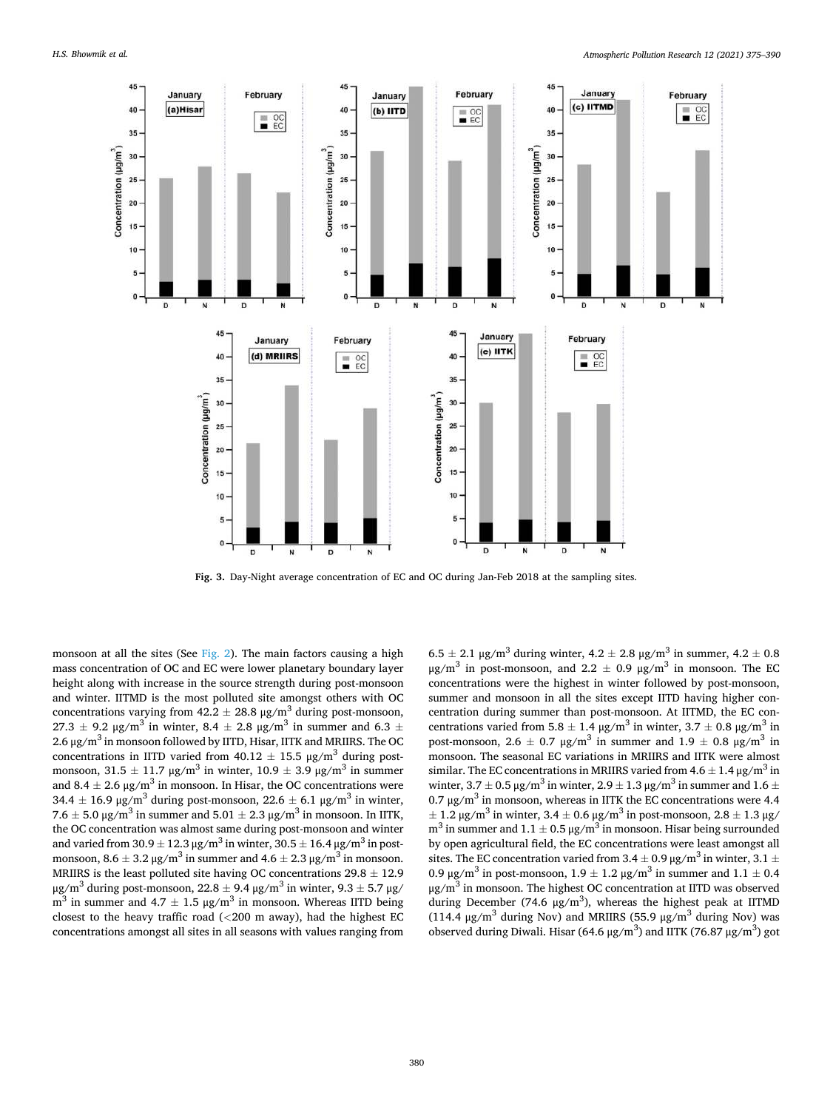<span id="page-5-0"></span>

**Fig. 3.** Day-Night average concentration of EC and OC during Jan-Feb 2018 at the sampling sites.

monsoon at all the sites (See [Fig. 2\)](#page-3-0). The main factors causing a high mass concentration of OC and EC were lower planetary boundary layer height along with increase in the source strength during post-monsoon and winter. IITMD is the most polluted site amongst others with OC concentrations varying from  $42.2 \pm 28.8$   $\mu$ g/m<sup>3</sup> during post-monsoon, 27.3  $\pm$  9.2 μg/m<sup>3</sup> in winter, 8.4  $\pm$  2.8 μg/m<sup>3</sup> in summer and 6.3  $\pm$ 2.6 μg/m<sup>3</sup> in monsoon followed by IITD, Hisar, IITK and MRIIRS. The OC concentrations in IITD varied from  $40.12 \pm 15.5$  µg/m<sup>3</sup> during postmonsoon,  $31.5 \pm 11.7$   $\mu$ g/m<sup>3</sup> in winter,  $10.9 \pm 3.9$   $\mu$ g/m<sup>3</sup> in summer and  $8.4 \pm 2.6$   $\mu$ g/m<sup>3</sup> in monsoon. In Hisar, the OC concentrations were 34.4  $\pm$  16.9 μg/m<sup>3</sup> during post-monsoon, 22.6  $\pm$  6.1 μg/m<sup>3</sup> in winter, 7.6  $\pm$  5.0 μg/m<sup>3</sup> in summer and 5.01  $\pm$  2.3 μg/m<sup>3</sup> in monsoon. In IITK, the OC concentration was almost same during post-monsoon and winter and varied from  $30.9 \pm 12.3$   $\mu$ g/m<sup>3</sup> in winter,  $30.5 \pm 16.4$   $\mu$ g/m<sup>3</sup> in postmonsoon,  $8.6 \pm 3.2 \,\mathrm{\upmu}\mathrm{g/m^3}$  in summer and  $4.6 \pm 2.3 \,\mathrm{\upmu}\mathrm{g/m^3}$  in monsoon. MRIIRS is the least polluted site having OC concentrations  $29.8 \pm 12.9$ μg/m<sup>3</sup> during post-monsoon, 22.8  $\pm$  9.4 μg/m<sup>3</sup> in winter, 9.3  $\pm$  5.7 μg/  $m<sup>3</sup>$  in summer and 4.7  $\pm$  1.5 μg/m<sup>3</sup> in monsoon. Whereas IITD being closest to the heavy traffic road (*<*200 m away), had the highest EC concentrations amongst all sites in all seasons with values ranging from

 $6.5 \pm 2.1 \,\mu$ g/m<sup>3</sup> during winter,  $4.2 \pm 2.8 \,\mu$ g/m<sup>3</sup> in summer,  $4.2 \pm 0.8$ μg/m<sup>3</sup> in post-monsoon, and 2.2  $\pm$  0.9 μg/m<sup>3</sup> in monsoon. The EC concentrations were the highest in winter followed by post-monsoon, summer and monsoon in all the sites except IITD having higher concentration during summer than post-monsoon. At IITMD, the EC concentrations varied from 5.8  $\pm$  1.4 μg/m<sup>3</sup> in winter, 3.7  $\pm$  0.8 μg/m<sup>3</sup> in post-monsoon, 2.6  $\pm$  0.7 μg/m<sup>3</sup> in summer and 1.9  $\pm$  0.8 μg/m<sup>3</sup> in monsoon. The seasonal EC variations in MRIIRS and IITK were almost similar. The EC concentrations in MRIIRS varied from  $4.6 \pm 1.4$   $\mu$ g/m<sup>3</sup> in winter,  $3.7 \pm 0.5$   $\mu$ g/m<sup>3</sup> in winter,  $2.9 \pm 1.3$   $\mu$ g/m<sup>3</sup> in summer and  $1.6 \pm$ 0.7 μg/m<sup>3</sup> in monsoon, whereas in IITK the EC concentrations were 4.4  $\pm$  1.2 μg/m<sup>3</sup> in winter, 3.4  $\pm$  0.6 μg/m<sup>3</sup> in post-monsoon, 2.8  $\pm$  1.3 μg/  $m<sup>3</sup>$  in summer and 1.1  $\pm$  0.5 μg/m<sup>3</sup> in monsoon. Hisar being surrounded by open agricultural field, the EC concentrations were least amongst all sites. The EC concentration varied from 3.4  $\pm$  0.9  $\mu$ g/m<sup>3</sup> in winter, 3.1  $\pm$ 0.9 μg/m<sup>3</sup> in post-monsoon,  $1.9 \pm 1.2$  μg/m<sup>3</sup> in summer and  $1.1 \pm 0.4$  $\mu$ g/m<sup>3</sup> in monsoon. The highest OC concentration at IITD was observed during December (74.6  $\mu$ g/m<sup>3</sup>), whereas the highest peak at IITMD (114.4  $\mu$ g/m<sup>3</sup> during Nov) and MRIIRS (55.9  $\mu$ g/m<sup>3</sup> during Nov) was observed during Diwali. Hisar (64.6 μg/m<sup>3</sup>) and IITK (76.87 μg/m<sup>3</sup>) got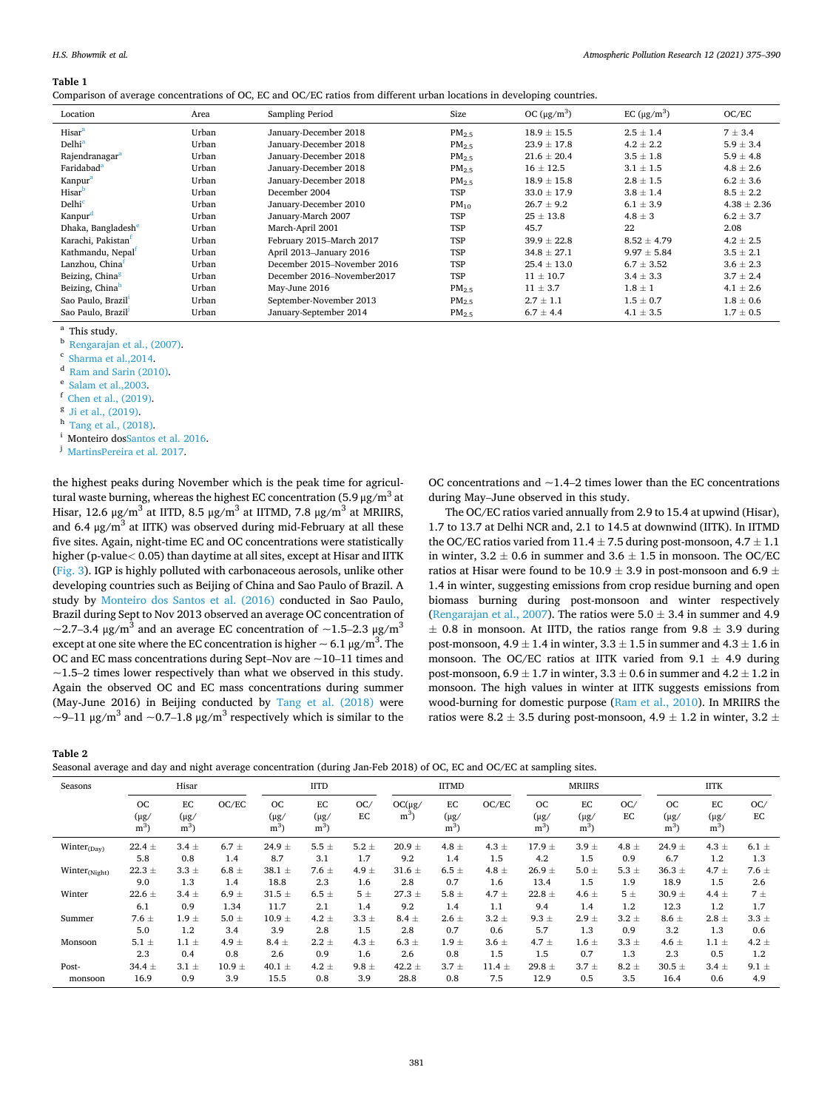#### <span id="page-6-0"></span>**Table 1**

|  | Comparison of average concentrations of OC, EC and OC/EC ratios from different urban locations in developing countries. |  |
|--|-------------------------------------------------------------------------------------------------------------------------|--|
|--|-------------------------------------------------------------------------------------------------------------------------|--|

| Location                       | Area  | Sampling Period             | Size              | OC $(\mu g/m^3)$ | EC $(\mu g/m^3)$ | OC/EC           |
|--------------------------------|-------|-----------------------------|-------------------|------------------|------------------|-----------------|
| Hisar <sup>a</sup>             | Urban | January-December 2018       | PM <sub>2.5</sub> | $18.9 \pm 15.5$  | $2.5 \pm 1.4$    | $7 \pm 3.4$     |
| Delhi <sup>a</sup>             | Urban | January-December 2018       | PM <sub>2.5</sub> | $23.9 \pm 17.8$  | $4.2 \pm 2.2$    | $5.9 \pm 3.4$   |
| Rajendranagar <sup>a</sup>     | Urban | January-December 2018       | $PM_{2.5}$        | $21.6 \pm 20.4$  | $3.5 \pm 1.8$    | $5.9 \pm 4.8$   |
| Faridabad <sup>a</sup>         | Urban | January-December 2018       | PM <sub>2.5</sub> | $16 \pm 12.5$    | $3.1 \pm 1.5$    | $4.8 \pm 2.6$   |
| Kanpur <sup>a</sup>            | Urban | January-December 2018       | PM <sub>2.5</sub> | $18.9 \pm 15.8$  | $2.8 \pm 1.5$    | $6.2 \pm 3.6$   |
| Hisar                          | Urban | December 2004               | <b>TSP</b>        | $33.0 \pm 17.9$  | $3.8 \pm 1.4$    | $8.5 \pm 2.2$   |
| Delhi <sup>c</sup>             | Urban | January-December 2010       | $PM_{10}$         | $26.7 \pm 9.2$   | $6.1 \pm 3.9$    | $4.38 \pm 2.36$ |
| Kanpur <sup>d</sup>            | Urban | January-March 2007          | <b>TSP</b>        | $25 \pm 13.8$    | $4.8 \pm 3$      | $6.2 \pm 3.7$   |
| Dhaka, Bangladesh <sup>e</sup> | Urban | March-April 2001            | <b>TSP</b>        | 45.7             | 22               | 2.08            |
| Karachi, Pakistan <sup>f</sup> | Urban | February 2015-March 2017    | <b>TSP</b>        | $39.9 \pm 22.8$  | $8.52 \pm 4.79$  | $4.2 \pm 2.5$   |
| Kathmandu, Nepal <sup>f</sup>  | Urban | April 2013-January 2016     | <b>TSP</b>        | $34.8 \pm 27.1$  | $9.97 \pm 5.84$  | $3.5 \pm 2.1$   |
| Lanzhou, China                 | Urban | December 2015-November 2016 | <b>TSP</b>        | $25.4 \pm 13.0$  | $6.7 \pm 3.52$   | $3.6 \pm 2.3$   |
| Beizing, China <sup>8</sup>    | Urban | December 2016-November2017  | <b>TSP</b>        | $11 \pm 10.7$    | $3.4 \pm 3.3$    | $3.7 \pm 2.4$   |
| Beizing, China <sup>h</sup>    | Urban | May-June 2016               | $PM_{2.5}$        | $11 \pm 3.7$     | $1.8 \pm 1$      | $4.1 \pm 2.6$   |
| Sao Paulo, Brazil <sup>1</sup> | Urban | September-November 2013     | PM <sub>2.5</sub> | $2.7 \pm 1.1$    | $1.5 \pm 0.7$    | $1.8 \pm 0.6$   |
| Sao Paulo, Brazil              | Urban | January-September 2014      | PM <sub>2.5</sub> | $6.7 \pm 4.4$    | $4.1 \pm 3.5$    | $1.7 \pm 0.5$   |

a This study.

<sup>b</sup> [Rengarajan et al., \(2007\)](#page-14-0).

c [Sharma et al.,2014.](#page-14-0)

<sup>d</sup> [Ram and Sarin \(2010\)](#page-14-0).

e [Salam et al.,2003.](#page-14-0)

- <sup>f</sup> [Chen et al., \(2019\)](#page-13-0).
- <sup>*g*</sup> [Ji et al., \(2019\).](#page-13-0)
- h [Tang et al., \(2018\)](#page-14-0).
- <sup>i</sup> Monteiro do[sSantos et al. 2016](#page-14-0).
- <sup>j</sup> [MartinsPereira et al. 2017.](#page-14-0)

the highest peaks during November which is the peak time for agricultural waste burning, whereas the highest EC concentration  $(5.9 \,\mu g/m^3$  at Hisar, 12.6  $\mu$ g/m<sup>3</sup> at IITD, 8.5  $\mu$ g/m<sup>3</sup> at IITMD, 7.8  $\mu$ g/m<sup>3</sup> at MRIIRS, and 6.4  $\mu$ g/m<sup>3</sup> at IITK) was observed during mid-February at all these five sites. Again, night-time EC and OC concentrations were statistically higher (p-value*<* 0.05) than daytime at all sites, except at Hisar and IITK ([Fig. 3](#page-5-0)). IGP is highly polluted with carbonaceous aerosols, unlike other developing countries such as Beijing of China and Sao Paulo of Brazil. A study by [Monteiro dos Santos et al. \(2016\)](#page-14-0) conducted in Sao Paulo, Brazil during Sept to Nov 2013 observed an average OC concentration of  $\sim$ 2.7–3.4 μg/m<sup>3</sup> and an average EC concentration of  $\sim$ 1.5–2.3 μg/m<sup>3</sup> except at one site where the EC concentration is higher  $\sim$  6.1  $\mu$ g/m $^3$ . The OC and EC mass concentrations during Sept–Nov are ~10–11 times and  $\sim$ 1.5–2 times lower respectively than what we observed in this study. Again the observed OC and EC mass concentrations during summer (May-June 2016) in Beijing conducted by [Tang et al. \(2018\)](#page-14-0) were  $\sim$ 9–11 μg/m<sup>3</sup> and  $\sim$ 0.7–1.8 μg/m<sup>3</sup> respectively which is similar to the

OC concentrations and  $\sim$ 1.4–2 times lower than the EC concentrations during May–June observed in this study.

The OC/EC ratios varied annually from 2.9 to 15.4 at upwind (Hisar), 1.7 to 13.7 at Delhi NCR and, 2.1 to 14.5 at downwind (IITK). In IITMD the OC/EC ratios varied from  $11.4 \pm 7.5$  during post-monsoon,  $4.7 \pm 1.1$ in winter,  $3.2 \pm 0.6$  in summer and  $3.6 \pm 1.5$  in monsoon. The OC/EC ratios at Hisar were found to be 10.9  $\pm$  3.9 in post-monsoon and 6.9  $\pm$ 1.4 in winter, suggesting emissions from crop residue burning and open biomass burning during post-monsoon and winter respectively ([Rengarajan et al., 2007\)](#page-14-0). The ratios were  $5.0 \pm 3.4$  in summer and 4.9  $\pm$  0.8 in monsoon. At IITD, the ratios range from 9.8  $\pm$  3.9 during post-monsoon,  $4.9 \pm 1.4$  in winter,  $3.3 \pm 1.5$  in summer and  $4.3 \pm 1.6$  in monsoon. The OC/EC ratios at IITK varied from  $9.1 \pm 4.9$  during post-monsoon,  $6.9 \pm 1.7$  in winter,  $3.3 \pm 0.6$  in summer and  $4.2 \pm 1.2$  in monsoon. The high values in winter at IITK suggests emissions from wood-burning for domestic purpose ([Ram et al., 2010](#page-14-0)). In MRIIRS the ratios were 8.2  $\pm$  3.5 during post-monsoon, 4.9  $\pm$  1.2 in winter, 3.2  $\pm$ 

**Table 2** 

|  | Seasonal average and day and night average concentration (during Jan-Feb 2018) of OC, EC and OC/EC at sampling sites. |  |  |
|--|-----------------------------------------------------------------------------------------------------------------------|--|--|
|  |                                                                                                                       |  |  |
|  |                                                                                                                       |  |  |
|  |                                                                                                                       |  |  |

| Seasons            |                           | Hisar                    |                        |                                 | <b>IITD</b>              |                         |                           | <b>IITMD</b>             |                          |                                     | <b>MRIIRS</b>                     |                         |                                  | <b>IITK</b>                       |                         |
|--------------------|---------------------------|--------------------------|------------------------|---------------------------------|--------------------------|-------------------------|---------------------------|--------------------------|--------------------------|-------------------------------------|-----------------------------------|-------------------------|----------------------------------|-----------------------------------|-------------------------|
|                    | OC<br>$(\mu g)$<br>$m^3$  | EC<br>$(\mu g)$<br>$m^3$ | OC/EC                  | <b>OC</b><br>$(\mu$ g/<br>$m^3$ | EC<br>$(\mu g)$<br>$m^3$ | OC/<br>EC               | $OC(\mu g)$<br>$m^3$      | EC<br>$(\mu$ g/<br>$m^3$ | OC/EC                    | <sub>OC</sub><br>$(\mu g)$<br>$m^3$ | EC<br>$(\mu$ g/<br>m <sup>3</sup> | OC/<br>EC               | <b>OC</b><br>$(\mu g /$<br>$m^3$ | EC<br>$(\mu g)$<br>m <sup>3</sup> | OC/<br>EC               |
| Winter $_{(Day)}$  | $22.4 \pm$                | $3.4 \pm$                | $6.7 \pm$              | 24.9 $\pm$                      | 5.5 $\pm$                | 5.2 $\pm$               | 20.9 $\pm$                | 4.8 $\pm$                | $4.3 \pm$                | $17.9 \pm$                          | $3.9 \pm$                         | 4.8 $\pm$               | 24.9 $\pm$                       | 4.3 $\pm$                         | $6.1 \pm$               |
|                    | 5.8                       | 0.8                      | 1.4                    | 8.7                             | 3.1                      | 1.7                     | 9.2                       | 1.4                      | 1.5                      | 4.2                                 | 1.5                               | 0.9                     | 6.7                              | 1.2                               | 1.3                     |
| $Winter_{(Night)}$ | $22.3 \pm$                | $3.3 \pm$                | $6.8 \pm$              | $38.1 \pm$                      | $7.6 \pm$                | 4.9 $\pm$               | $31.6 \pm$                | $6.5 \pm$                | 4.8 $\pm$                | $26.9 \pm$                          | 5.0 $\pm$                         | 5.3 $\pm$               | $36.3 \pm$                       | $4.7 \pm$                         | $7.6 \pm$               |
|                    | 9.0                       | 1.3                      | 1.4                    | 18.8                            | 2.3                      | 1.6                     | 2.8                       | 0.7                      | 1.6                      | 13.4                                | 1.5                               | 1.9                     | 18.9                             | 1.5                               | 2.6                     |
| Winter             | $22.6 \pm$                | $3.4 \pm$                | $6.9 \pm$              | $31.5 \pm$                      | $6.5 \pm$                | $5\pm$                  | $27.3 \pm$                | 5.8 $\pm$                | 4.7 $\pm$                | $22.8 \pm$                          | 4.6 $\pm$                         | 5±                      | $30.9 \pm$                       | $4.4 \pm$                         | 7 ±                     |
|                    | 6.1                       | 0.9                      | 1.34                   | 11.7                            | 2.1                      | 1.4                     | 9.2                       | 1.4                      | 1.1                      | 9.4                                 | 1.4                               | 1.2                     | 12.3                             | 1.2                               | 1.7                     |
| Summer             | $7.6 \pm$                 | $1.9 \pm$                | 5.0 $\pm$              | $10.9 +$                        | 4.2 $\pm$                | $3.3 \pm$               | $8.4 \pm$                 | $2.6 \pm$                | $3.2 \pm$                | $9.3 \pm$                           | $2.9 \pm$                         | $3.2 \pm$               | $8.6 \pm$                        | $2.8 \pm$                         | $3.3 \pm$               |
|                    | 5.0                       | 1.2                      | 3.4                    | 3.9                             | 2.8                      | 1.5                     | 2.8                       | 0.7                      | 0.6                      | 5.7                                 | 1.3                               | 0.9                     | 3.2                              | 1.3                               | 0.6                     |
| Monsoon            | 5.1 $\pm$                 | $1.1 \pm$                | 4.9 $\pm$              | $8.4 \pm$                       | $2.2 \pm$                | $4.3 \pm$               | $6.3 \pm$                 | $1.9 \pm$                | $3.6 \pm$                | 4.7 $\pm$                           | $1.6 \pm$                         | $3.3 \pm$               | 4.6 $\pm$                        | $1.1 \pm$                         | 4.2 $\pm$               |
| Post-<br>monsoon   | 2.3<br>$34.4 \pm$<br>16.9 | 0.4<br>$3.1 \pm$<br>0.9  | 0.8<br>$10.9 +$<br>3.9 | 2.6<br>40.1 $\pm$<br>15.5       | 0.9<br>$4.2 \pm$<br>0.8  | 1.6<br>$9.8 \pm$<br>3.9 | 2.6<br>42.2 $\pm$<br>28.8 | 0.8<br>$3.7 \pm$<br>0.8  | 1.5<br>$11.4 \pm$<br>7.5 | 1.5<br>29.8 $\pm$<br>12.9           | 0.7<br>$3.7 \pm$<br>0.5           | 1.3<br>$8.2 \pm$<br>3.5 | 2.3<br>$30.5 \pm$<br>16.4        | 0.5<br>$3.4 \pm$<br>0.6           | 1.2<br>$9.1 \pm$<br>4.9 |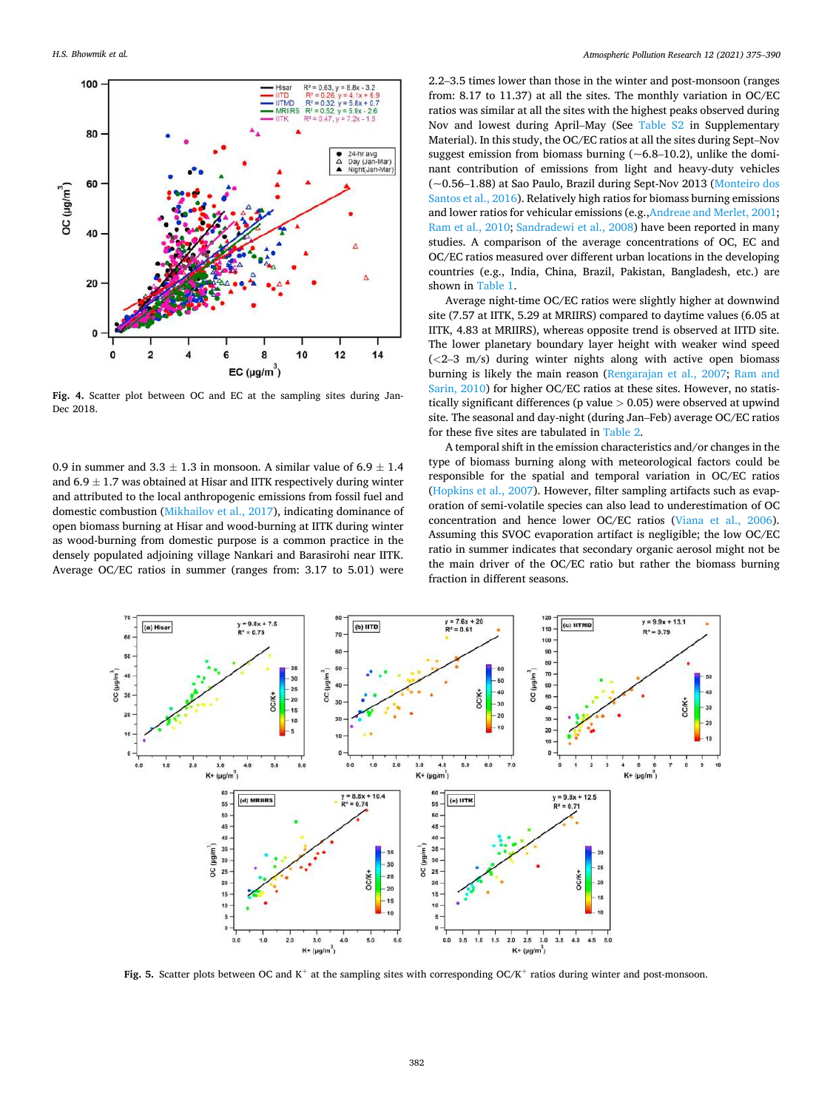<span id="page-7-0"></span>

**Fig. 4.** Scatter plot between OC and EC at the sampling sites during Jan-Dec 2018.

0.9 in summer and  $3.3 \pm 1.3$  in monsoon. A similar value of  $6.9 \pm 1.4$ and  $6.9 \pm 1.7$  was obtained at Hisar and IITK respectively during winter and attributed to the local anthropogenic emissions from fossil fuel and domestic combustion ([Mikhailov et al., 2017\)](#page-14-0), indicating dominance of open biomass burning at Hisar and wood-burning at IITK during winter as wood-burning from domestic purpose is a common practice in the densely populated adjoining village Nankari and Barasirohi near IITK. Average OC/EC ratios in summer (ranges from: 3.17 to 5.01) were

2.2–3.5 times lower than those in the winter and post-monsoon (ranges from: 8.17 to 11.37) at all the sites. The monthly variation in OC/EC ratios was similar at all the sites with the highest peaks observed during Nov and lowest during April–May (See Table S2 in Supplementary Material). In this study, the OC/EC ratios at all the sites during Sept–Nov suggest emission from biomass burning  $(-6.8-10.2)$ , unlike the dominant contribution of emissions from light and heavy-duty vehicles (~0.56–1.88) at Sao Paulo, Brazil during Sept-Nov 2013 [\(Monteiro dos](#page-14-0)  [Santos et al., 2016\)](#page-14-0). Relatively high ratios for biomass burning emissions and lower ratios for vehicular emissions (e.g.,[Andreae and Merlet, 2001](#page-13-0); [Ram et al., 2010; Sandradewi et al., 2008](#page-14-0)) have been reported in many studies. A comparison of the average concentrations of OC, EC and OC/EC ratios measured over different urban locations in the developing countries (e.g., India, China, Brazil, Pakistan, Bangladesh, etc.) are shown in [Table 1.](#page-6-0)

Average night-time OC/EC ratios were slightly higher at downwind site (7.57 at IITK, 5.29 at MRIIRS) compared to daytime values (6.05 at IITK, 4.83 at MRIIRS), whereas opposite trend is observed at IITD site. The lower planetary boundary layer height with weaker wind speed (*<*2–3 m/s) during winter nights along with active open biomass burning is likely the main reason [\(Rengarajan et al., 2007;](#page-14-0) [Ram and](#page-14-0)  [Sarin, 2010](#page-14-0)) for higher OC/EC ratios at these sites. However, no statistically significant differences (p value *>* 0.05) were observed at upwind site. The seasonal and day-night (during Jan–Feb) average OC/EC ratios for these five sites are tabulated in [Table 2.](#page-6-0)

A temporal shift in the emission characteristics and/or changes in the type of biomass burning along with meteorological factors could be responsible for the spatial and temporal variation in OC/EC ratios ([Hopkins et al., 2007](#page-13-0)). However, filter sampling artifacts such as evaporation of semi-volatile species can also lead to underestimation of OC concentration and hence lower OC/EC ratios [\(Viana et al., 2006](#page-15-0)). Assuming this SVOC evaporation artifact is negligible; the low OC/EC ratio in summer indicates that secondary organic aerosol might not be the main driver of the OC/EC ratio but rather the biomass burning fraction in different seasons.



Fig. 5. Scatter plots between OC and K<sup>+</sup> at the sampling sites with corresponding OC/K<sup>+</sup> ratios during winter and post-monsoon.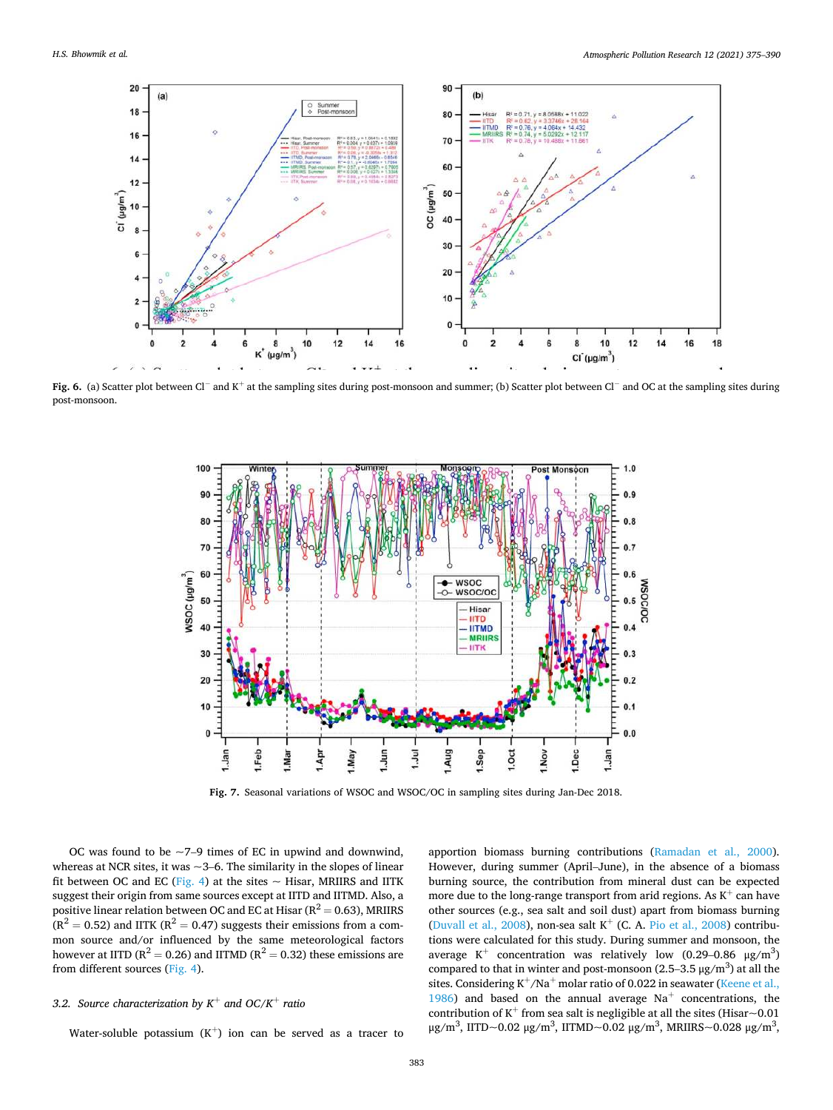<span id="page-8-0"></span>

**Fig. 6.** (a) Scatter plot between Cl<sup>−</sup> and K<sup>+</sup> at the sampling sites during post-monsoon and summer; (b) Scatter plot between Cl<sup>−</sup> and OC at the sampling sites during post-monsoon.



**Fig. 7.** Seasonal variations of WSOC and WSOC/OC in sampling sites during Jan-Dec 2018.

OC was found to be  $\sim$ 7–9 times of EC in upwind and downwind, whereas at NCR sites, it was  $\sim$  3–6. The similarity in the slopes of linear fit between OC and EC [\(Fig. 4\)](#page-7-0) at the sites  $\sim$  Hisar, MRIIRS and IITK suggest their origin from same sources except at IITD and IITMD. Also, a positive linear relation between OC and EC at Hisar  $(R^2 = 0.63)$ , MRIIRS  $(R^{2} = 0.52)$  and IITK  $(R^{2} = 0.47)$  suggests their emissions from a common source and/or influenced by the same meteorological factors however at IITD ( $R^2 = 0.26$ ) and IITMD ( $R^2 = 0.32$ ) these emissions are from different sources ([Fig. 4\)](#page-7-0).

# *3.2. Source characterization by K*<sup>+</sup> *and OC/K*<sup>+</sup> *ratio*

Water-soluble potassium  $(K^+)$  ion can be served as a tracer to

apportion biomass burning contributions [\(Ramadan et al., 2000](#page-14-0)). However, during summer (April–June), in the absence of a biomass burning source, the contribution from mineral dust can be expected more due to the long-range transport from arid regions. As  $\mathrm{K}^{+}$  can have other sources (e.g., sea salt and soil dust) apart from biomass burning ([Duvall et al., 2008](#page-13-0)), non-sea salt  $K^+$  (C. A. [Pio et al., 2008\)](#page-14-0) contributions were calculated for this study. During summer and monsoon, the average  $K^+$  concentration was relatively low (0.29–0.86  $\mu$ g/m<sup>3</sup>) compared to that in winter and post-monsoon  $(2.5-3.5 \,\mu g/m^3)$  at all the sites. Considering  $K^+/Na^+$  molar ratio of 0.022 in seawater (Keene et al., [1986\)](#page-14-0) and based on the annual average  $Na<sup>+</sup>$  concentrations, the contribution of  $\mathrm{K}^+$  from sea salt is negligible at all the sites (Hisar $\sim$ 0.01 μg/m<sup>3</sup>, IITD~0.02 μg/m<sup>3</sup>, IITMD~0.02 μg/m<sup>3</sup>, MRIIRS~0.028 μg/m<sup>3</sup>,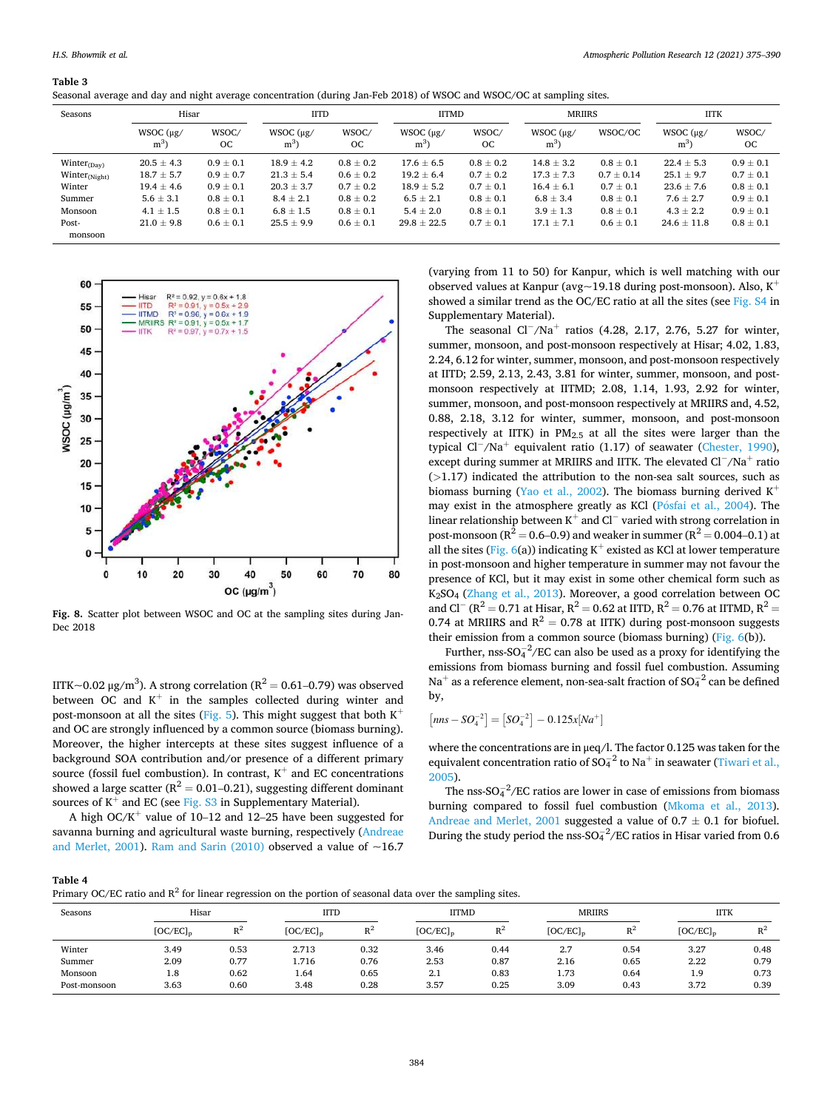#### <span id="page-9-0"></span>**Table 3**

|  |  |  |  |  | Seasonal average and day and night average concentration (during Jan-Feb 2018) of WSOC and WSOC/OC at sampling sites. |
|--|--|--|--|--|-----------------------------------------------------------------------------------------------------------------------|
|--|--|--|--|--|-----------------------------------------------------------------------------------------------------------------------|

| Seasons             | Hisar                      |                    | <b>IITD</b>                  |               | <b>IITMD</b>               |                    | <b>MRIIRS</b>            |                | <b>IITK</b>             |                    |
|---------------------|----------------------------|--------------------|------------------------------|---------------|----------------------------|--------------------|--------------------------|----------------|-------------------------|--------------------|
|                     | $WSOC$ ( $\mu$ g/<br>$m^3$ | WSOC/<br><b>OC</b> | $WSOC$ ( $\mu$ g/<br>$m^3$ ) | WSOC/<br>OC   | $WSOC$ ( $\mu$ g/<br>$m^3$ | WSOC/<br><b>OC</b> | $WSOC(\mu g)$<br>$m^{3}$ | WSOC/OC        | WSOC $(\mu$ g/<br>$m^3$ | WSOC/<br><b>OC</b> |
| $Winter_{(Dav)}$    | $20.5 \pm 4.3$             | $0.9 \pm 0.1$      | $18.9 \pm 4.2$               | $0.8 \pm 0.2$ | $17.6 \pm 6.5$             | $0.8 \pm 0.2$      | $14.8 \pm 3.2$           | $0.8 \pm 0.1$  | $22.4 \pm 5.3$          | $0.9 \pm 0.1$      |
| Winter $_{(Night)}$ | $18.7 \pm 5.7$             | $0.9 \pm 0.7$      | $21.3 \pm 5.4$               | $0.6 \pm 0.2$ | $19.2 \pm 6.4$             | $0.7 \pm 0.2$      | $17.3 \pm 7.3$           | $0.7 \pm 0.14$ | $25.1 \pm 9.7$          | $0.7 \pm 0.1$      |
| Winter              | $19.4 \pm 4.6$             | $0.9 \pm 0.1$      | $20.3 \pm 3.7$               | $0.7 \pm 0.2$ | $18.9 \pm 5.2$             | $0.7 \pm 0.1$      | $16.4 \pm 6.1$           | $0.7 \pm 0.1$  | $23.6 \pm 7.6$          | $0.8 \pm 0.1$      |
| Summer              | $5.6 \pm 3.1$              | $0.8 \pm 0.1$      | $8.4 \pm 2.1$                | $0.8 \pm 0.2$ | $6.5 \pm 2.1$              | $0.8 \pm 0.1$      | $6.8 \pm 3.4$            | $0.8 \pm 0.1$  | $7.6 \pm 2.7$           | $0.9 \pm 0.1$      |
| Monsoon             | $4.1 \pm 1.5$              | $0.8 \pm 0.1$      | $6.8 \pm 1.5$                | $0.8 \pm 0.1$ | $5.4 \pm 2.0$              | $0.8 \pm 0.1$      | $3.9 \pm 1.3$            | $0.8 \pm 0.1$  | $4.3 \pm 2.2$           | $0.9 \pm 0.1$      |
| Post-               | $21.0 \pm 9.8$             | $0.6 \pm 0.1$      | $25.5 \pm 9.9$               | $0.6 \pm 0.1$ | $29.8 \pm 22.5$            | $0.7 \pm 0.1$      | $17.1 \pm 7.1$           | $0.6 \pm 0.1$  | $24.6 \pm 11.8$         | $0.8 \pm 0.1$      |
| monsoon             |                            |                    |                              |               |                            |                    |                          |                |                         |                    |



**Fig. 8.** Scatter plot between WSOC and OC at the sampling sites during Jan-Dec 2018

IITK~0.02 μg/m<sup>3</sup>). A strong correlation (R<sup>2</sup> = 0.61–0.79) was observed between OC and  $K^+$  in the samples collected during winter and post-monsoon at all the sites ([Fig. 5\)](#page-7-0). This might suggest that both  $K^+$ and OC are strongly influenced by a common source (biomass burning). Moreover, the higher intercepts at these sites suggest influence of a background SOA contribution and/or presence of a different primary source (fossil fuel combustion). In contrast,  $K^+$  and EC concentrations showed a large scatter ( $R^2 = 0.01 - 0.21$ ), suggesting different dominant sources of  $K^+$  and EC (see Fig. S3 in Supplementary Material).

A high  $OC/K^+$  value of 10–12 and 12–25 have been suggested for savanna burning and agricultural waste burning, respectively [\(Andreae](#page-13-0)  [and Merlet, 2001](#page-13-0)). [Ram and Sarin \(2010\)](#page-14-0) observed a value of  $~16.7$ 

(varying from 11 to 50) for Kanpur, which is well matching with our observed values at Kanpur (avg $\sim$ 19.18 during post-monsoon). Also, K<sup>+</sup> showed a similar trend as the OC/EC ratio at all the sites (see Fig. S4 in Supplementary Material).

The seasonal Cl<sup>−</sup>/Na<sup>+</sup> ratios (4.28, 2.17, 2.76, 5.27 for winter, summer, monsoon, and post-monsoon respectively at Hisar; 4.02, 1.83, 2.24, 6.12 for winter, summer, monsoon, and post-monsoon respectively at IITD; 2.59, 2.13, 2.43, 3.81 for winter, summer, monsoon, and postmonsoon respectively at IITMD; 2.08, 1.14, 1.93, 2.92 for winter, summer, monsoon, and post-monsoon respectively at MRIIRS and, 4.52, 0.88, 2.18, 3.12 for winter, summer, monsoon, and post-monsoon respectively at IITK) in  $PM_{2.5}$  at all the sites were larger than the typical Cl<sup>−</sup>/Na<sup>+</sup> equivalent ratio (1.17) of seawater [\(Chester, 1990](#page-13-0)), except during summer at MRIIRS and IITK. The elevated Cl<sup>−</sup>/Na<sup>+</sup> ratio (*>*1.17) indicated the attribution to the non-sea salt sources, such as biomass burning [\(Yao et al., 2002\)](#page-15-0). The biomass burning derived  $K^+$ may exist in the atmosphere greatly as KCl (Pósfai et al., 2004). The linear relationship between K<sup>+</sup> and Cl<sup>−</sup> varied with strong correlation in post-monsoon ( $R^2 = 0.6 - 0.9$ ) and weaker in summer ( $R^2 = 0.004 - 0.1$ ) at all the sites ([Fig. 6](#page-8-0)(a)) indicating  $K^+$  existed as KCl at lower temperature in post-monsoon and higher temperature in summer may not favour the presence of KCl, but it may exist in some other chemical form such as K2SO4 [\(Zhang et al., 2013\)](#page-15-0). Moreover, a good correlation between OC and Cl<sup>−</sup> (R<sup>2</sup> = 0.71 at Hisar, R<sup>2</sup> = 0.62 at IITD, R<sup>2</sup> = 0.76 at IITMD, R<sup>2</sup> = 0.74 at MRIIRS and  $R^2 = 0.78$  at IITK) during post-monsoon suggests their emission from a common source (biomass burning) [\(Fig. 6](#page-8-0)(b)).

Further, nss- $SO_4^{-2}/EC$  can also be used as a proxy for identifying the emissions from biomass burning and fossil fuel combustion. Assuming Na<sup>+</sup> as a reference element, non-sea-salt fraction of SO $_4^{-2}$  can be defined by,

$$
[nns - SO_4^{-2}] = [SO_4^{-2}] - 0.125x[Na^+]
$$

where the concentrations are in μeq/l. The factor 0.125 was taken for the equivalent concentration ratio of  $SO_4^{-2}$  to Na<sup>+</sup> in seawater (Tiwari et al., [2005\)](#page-15-0).

The nss- $SO_4^{-2}/EC$  ratios are lower in case of emissions from biomass burning compared to fossil fuel combustion ([Mkoma et al., 2013](#page-14-0)). [Andreae and Merlet, 2001](#page-13-0) suggested a value of  $0.7 \pm 0.1$  for biofuel. During the study period the nss-SO $_4^{2}/$ EC ratios in Hisar varied from 0.6

**Table 4** 

|  |  | Primary OC/EC ratio and $R^2$ for linear regression on the portion of seasonal data over the sampling sites. |  |
|--|--|--------------------------------------------------------------------------------------------------------------|--|
|  |  |                                                                                                              |  |
|  |  |                                                                                                              |  |
|  |  |                                                                                                              |  |

| Seasons      | Hisar       |       | <b>IITD</b> |       | <b>IITMD</b> |       | <b>MRIIRS</b> |       | <b>IITK</b> |       |
|--------------|-------------|-------|-------------|-------|--------------|-------|---------------|-------|-------------|-------|
|              | $[OC/EC]_p$ | $n^2$ | $[OC/EC]_p$ | $R^2$ | $[OC/EC]_p$  | $n^2$ | $[OC/EC]_n$   | $R^2$ | $[OC/EC]_p$ | $n^2$ |
| Winter       | 3.49        | 0.53  | 2.713       | 0.32  | 3.46         | 0.44  | 2.7           | 0.54  | 3.27        | 0.48  |
| Summer       | 2.09        | 0.77  | 1.716       | 0.76  | 2.53         | 0.87  | 2.16          | 0.65  | 2.22        | 0.79  |
| Monsoon      | 1.8         | 0.62  | 1.64        | 0.65  | 2.1          | 0.83  | 1.73          | 0.64  | 1.9         | 0.73  |
| Post-monsoon | 3.63        | 0.60  | 3.48        | 0.28  | 3.57         | 0.25  | 3.09          | 0.43  | 3.72        | 0.39  |
|              |             |       |             |       |              |       |               |       |             |       |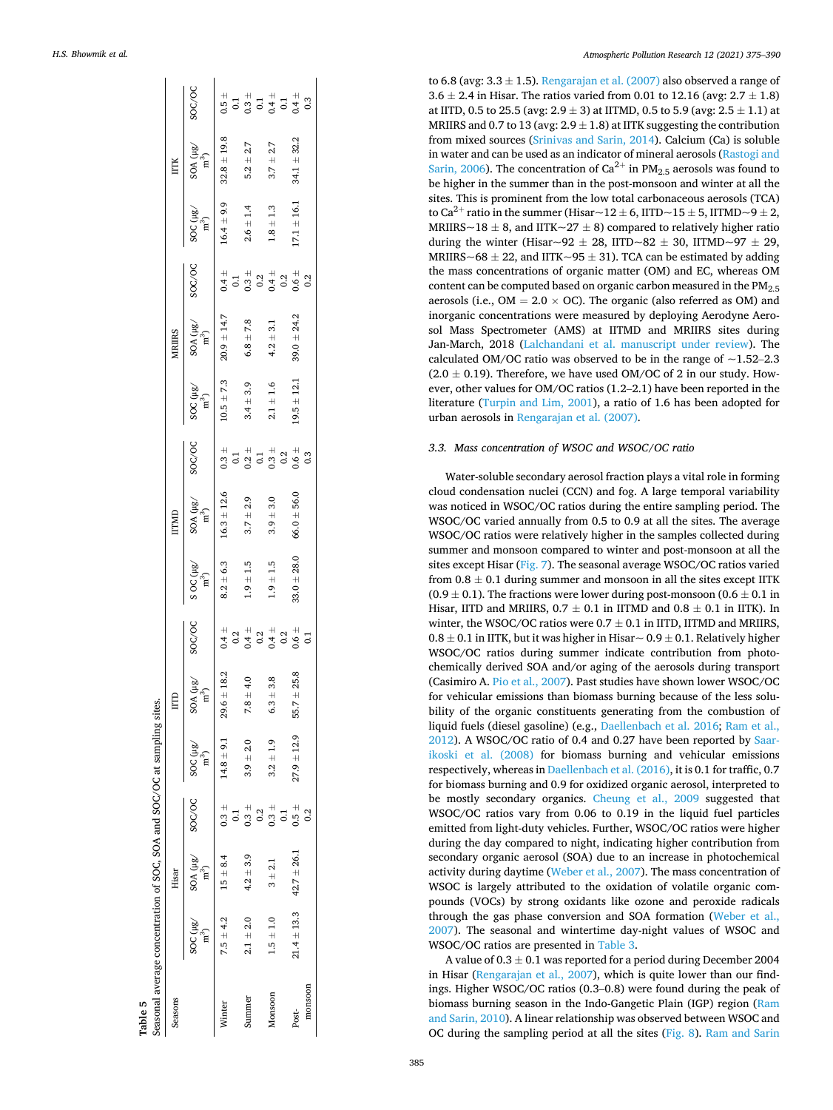<span id="page-10-0"></span>

| SOC/OC<br>$\frac{\text{SOA (}\mu \text{g} \text{/}\text{)}}{\text{m}^3)}$<br>$32.8 \pm 19.8$<br>$34.1 \pm 32.2$<br>$3.7 \pm 2.7$<br>$5.2\pm2.7$<br><b>ITTK</b><br>$17.1 \pm 16.1$<br>$\operatorname{SOC}^{\text{}}_{\text{m}^3)}$<br>$16.4 \pm 9.9$<br>$2.6 \pm 1.4$<br>$1.8\pm1.3$<br>SOC/OC<br>$0.1$<br>$0.3$<br>$0.3$<br>$0.4$<br>$0.5$<br>$0.5$<br>$0.6$<br>$0.6$<br>0.2<br>$\frac{\text{SOA (}\mu \text{g}}{\text{m}^3)}$<br>$20.9 \pm 14.7$<br>$39.0 + 24.2$<br>$6.8\pm7.8$<br>$4.2 \pm 3.1$<br>MRIIRS<br>$SOC \frac{1}{2}$<br>$(m^3)$<br>$19.5 \pm 12.1$<br>$10.5 \pm 7.3$<br>$2.1 \pm 1.6$<br>$3.4 \pm 3.9$<br>SOC/OC<br>$16.3 \pm 12.6$<br>$66.0 + 56.0$<br>$SOA ( \mu g / m^3)$<br>$3.7 \pm 2.9$<br>$3.9 + 3.0$<br>ITMD<br>$33.0 \pm 28.0$<br>S OC $(\mu g)$<br>m <sup>3</sup> )<br>$8.2 \pm 6.3$<br>$1.9\pm1.5$<br>$1.9\pm1.5$<br>SOC/OC<br>$SOA ( \mu g /$<br>$14.8 \pm 9.1$ 29.6 $\pm$ 18.2<br>$55.7 \pm 25.8$<br>$6.3 \pm 3.8$<br>$7.8 \pm 4.0$<br>$27.9 \pm 12.9$<br>$3.9 \pm 2.0$<br>$3.2 \pm 1.9$<br>$20C$ (Hg/<br>ົາ<br>SOC/OC<br>$0.3 +$<br>$0.5 +$<br>$0.3 +$<br>$0.3 +$<br>0.2<br>$\overline{c}$<br>$\overline{0}$<br>$SOA$ ( $\mu$ g/<br>$42.7 \pm 26.1$<br>$4.2 \pm 3.9$<br>$15 \pm 8.4$<br>$3 + 2.1$<br>Hisar<br>$21.4 \pm 13.3$<br>$SOC$ ( $\mu$ g/<br>$7.5 \pm 4.2$<br>$1.5 \pm 1.0$<br>$2.1 \pm 2.0$<br>ົກ<br>monsoon<br>Monsoon<br>Summer<br>Seasons<br>Winter<br>Post- | Table 5 | Seasonal average concentration of SOC, SOA and SOC/OC at sampling sites. |  |  |  |  |  |  |  |
|-----------------------------------------------------------------------------------------------------------------------------------------------------------------------------------------------------------------------------------------------------------------------------------------------------------------------------------------------------------------------------------------------------------------------------------------------------------------------------------------------------------------------------------------------------------------------------------------------------------------------------------------------------------------------------------------------------------------------------------------------------------------------------------------------------------------------------------------------------------------------------------------------------------------------------------------------------------------------------------------------------------------------------------------------------------------------------------------------------------------------------------------------------------------------------------------------------------------------------------------------------------------------------------------------------------------------------------------------------------------------------------------------------|---------|--------------------------------------------------------------------------|--|--|--|--|--|--|--|
|                                                                                                                                                                                                                                                                                                                                                                                                                                                                                                                                                                                                                                                                                                                                                                                                                                                                                                                                                                                                                                                                                                                                                                                                                                                                                                                                                                                                     |         |                                                                          |  |  |  |  |  |  |  |
|                                                                                                                                                                                                                                                                                                                                                                                                                                                                                                                                                                                                                                                                                                                                                                                                                                                                                                                                                                                                                                                                                                                                                                                                                                                                                                                                                                                                     |         |                                                                          |  |  |  |  |  |  |  |
|                                                                                                                                                                                                                                                                                                                                                                                                                                                                                                                                                                                                                                                                                                                                                                                                                                                                                                                                                                                                                                                                                                                                                                                                                                                                                                                                                                                                     |         |                                                                          |  |  |  |  |  |  |  |
|                                                                                                                                                                                                                                                                                                                                                                                                                                                                                                                                                                                                                                                                                                                                                                                                                                                                                                                                                                                                                                                                                                                                                                                                                                                                                                                                                                                                     |         |                                                                          |  |  |  |  |  |  |  |
|                                                                                                                                                                                                                                                                                                                                                                                                                                                                                                                                                                                                                                                                                                                                                                                                                                                                                                                                                                                                                                                                                                                                                                                                                                                                                                                                                                                                     |         |                                                                          |  |  |  |  |  |  |  |
|                                                                                                                                                                                                                                                                                                                                                                                                                                                                                                                                                                                                                                                                                                                                                                                                                                                                                                                                                                                                                                                                                                                                                                                                                                                                                                                                                                                                     |         |                                                                          |  |  |  |  |  |  |  |
|                                                                                                                                                                                                                                                                                                                                                                                                                                                                                                                                                                                                                                                                                                                                                                                                                                                                                                                                                                                                                                                                                                                                                                                                                                                                                                                                                                                                     |         |                                                                          |  |  |  |  |  |  |  |
|                                                                                                                                                                                                                                                                                                                                                                                                                                                                                                                                                                                                                                                                                                                                                                                                                                                                                                                                                                                                                                                                                                                                                                                                                                                                                                                                                                                                     |         |                                                                          |  |  |  |  |  |  |  |
|                                                                                                                                                                                                                                                                                                                                                                                                                                                                                                                                                                                                                                                                                                                                                                                                                                                                                                                                                                                                                                                                                                                                                                                                                                                                                                                                                                                                     |         |                                                                          |  |  |  |  |  |  |  |
|                                                                                                                                                                                                                                                                                                                                                                                                                                                                                                                                                                                                                                                                                                                                                                                                                                                                                                                                                                                                                                                                                                                                                                                                                                                                                                                                                                                                     |         |                                                                          |  |  |  |  |  |  |  |

*Atmospheric Pollution Research 12 (2021) 375–390*

to 6.8 (avg:  $3.3 \pm 1.5$ ). [Rengarajan et al. \(2007\)](#page-14-0) also observed a range of  $3.6 \pm 2.4$  in Hisar. The ratios varied from 0.01 to 12.16 (avg:  $2.7 \pm 1.8$ ) at IITD, 0.5 to 25.5 (avg:  $2.9 \pm 3$ ) at IITMD, 0.5 to 5.9 (avg:  $2.5 \pm 1.1$ ) at MRIIRS and 0.7 to 13 (avg:  $2.9 \pm 1.8$ ) at IITK suggesting the contribution from mixed sources [\(Srinivas and Sarin, 2014](#page-14-0)). Calcium (Ca) is soluble in water and can be used as an indicator of mineral aerosols ([Rastogi and](#page-14-0)  [Sarin, 2006](#page-14-0)). The concentration of  $Ca^{2+}$  in PM<sub>2.5</sub> aerosols was found to be higher in the summer than in the post-monsoon and winter at all the sites. This is prominent from the low total carbonaceous aerosols (TCA) to Ca<sup>2+</sup> ratio in the summer (Hisar~12  $\pm$  6, IITD~15  $\pm$  5, IITMD~9  $\pm$  2, MRIIRS~18  $\pm$  8, and IITK~27  $\pm$  8) compared to relatively higher ratio during the winter (Hisar~92  $\pm$  28, IITD~82  $\pm$  30, IITMD~97  $\pm$  29, MRIIRS~68  $\pm$  22, and IITK~95  $\pm$  31). TCA can be estimated by adding the mass concentrations of organic matter (OM) and EC, whereas OM content can be computed based on organic carbon measured in the PM<sub>2.5</sub> aerosols (i.e.,  $OM = 2.0 \times OC$ ). The organic (also referred as OM) and inorganic concentrations were measured by deploying Aerodyne Aerosol Mass Spectrometer (AMS) at IITMD and MRIIRS sites during Jan-March, 2018 ([Lalchandani et al. manuscript under review](#page-14-0)). The calculated OM/OC ratio was observed to be in the range of  $\sim$ 1.52–2.3  $(2.0 \pm 0.19)$ . Therefore, we have used OM/OC of 2 in our study. However, other values for OM/OC ratios (1.2–2.1) have been reported in the literature [\(Turpin and Lim, 2001](#page-15-0)), a ratio of 1.6 has been adopted for urban aerosols in [Rengarajan et al. \(2007\)](#page-14-0).

## *3.3. Mass concentration of WSOC and WSOC/OC ratio*

Water-soluble secondary aerosol fraction plays a vital role in forming cloud condensation nuclei (CCN) and fog. A large temporal variability was noticed in WSOC/OC ratios during the entire sampling period. The WSOC/OC varied annually from 0.5 to 0.9 at all the sites. The average WSOC/OC ratios were relatively higher in the samples collected during summer and monsoon compared to winter and post-monsoon at all the sites except Hisar [\(Fig. 7\)](#page-8-0). The seasonal average WSOC/OC ratios varied from  $0.8 \pm 0.1$  during summer and monsoon in all the sites except IITK  $(0.9 \pm 0.1)$ . The fractions were lower during post-monsoon  $(0.6 \pm 0.1)$  in Hisar, IITD and MRIIRS,  $0.7 \pm 0.1$  in IITMD and  $0.8 \pm 0.1$  in IITK). In winter, the WSOC/OC ratios were  $0.7 \pm 0.1$  in IITD, IITMD and MRIIRS,  $0.8\pm0.1$  in IITK, but it was higher in Hisar $\sim 0.9\pm0.1$ . Relatively higher WSOC/OC ratios during summer indicate contribution from photochemically derived SOA and/or aging of the aerosols during transport (Casimiro A. [Pio et al., 2007](#page-14-0)). Past studies have shown lower WSOC/OC for vehicular emissions than biomass burning because of the less solubility of the organic constituents generating from the combustion of liquid fuels (diesel gasoline) (e.g., [Daellenbach et al. 2016](#page-13-0); [Ram et al.,](#page-14-0)  [2012\)](#page-14-0). A WSOC/OC ratio of 0.4 and 0.27 have been reported by [Saar](#page-14-0)[ikoski et al. \(2008\)](#page-14-0) for biomass burning and vehicular emissions respectively, whereas in [Daellenbach et al. \(2016\)](#page-13-0), it is 0.1 for traffic, 0.7 for biomass burning and 0.9 for oxidized organic aerosol, interpreted to be mostly secondary organics. [Cheung et al., 2009](#page-13-0) suggested that WSOC/OC ratios vary from 0.06 to 0.19 in the liquid fuel particles emitted from light-duty vehicles. Further, WSOC/OC ratios were higher during the day compared to night, indicating higher contribution from secondary organic aerosol (SOA) due to an increase in photochemical activity during daytime [\(Weber et al., 2007](#page-15-0)). The mass concentration of WSOC is largely attributed to the oxidation of volatile organic compounds (VOCs) by strong oxidants like ozone and peroxide radicals through the gas phase conversion and SOA formation [\(Weber et al.,](#page-15-0)  [2007\)](#page-15-0). The seasonal and wintertime day-night values of WSOC and WSOC/OC ratios are presented in [Table 3](#page-9-0).

A value of 0.3  $\pm$  0.1 was reported for a period during December 2004 in Hisar ([Rengarajan et al., 2007](#page-14-0)), which is quite lower than our findings. Higher WSOC/OC ratios (0.3–0.8) were found during the peak of biomass burning season in the Indo-Gangetic Plain (IGP) region ([Ram](#page-14-0)  [and Sarin, 2010](#page-14-0)). A linear relationship was observed between WSOC and OC during the sampling period at all the sites [\(Fig. 8\)](#page-9-0). [Ram and Sarin](#page-14-0)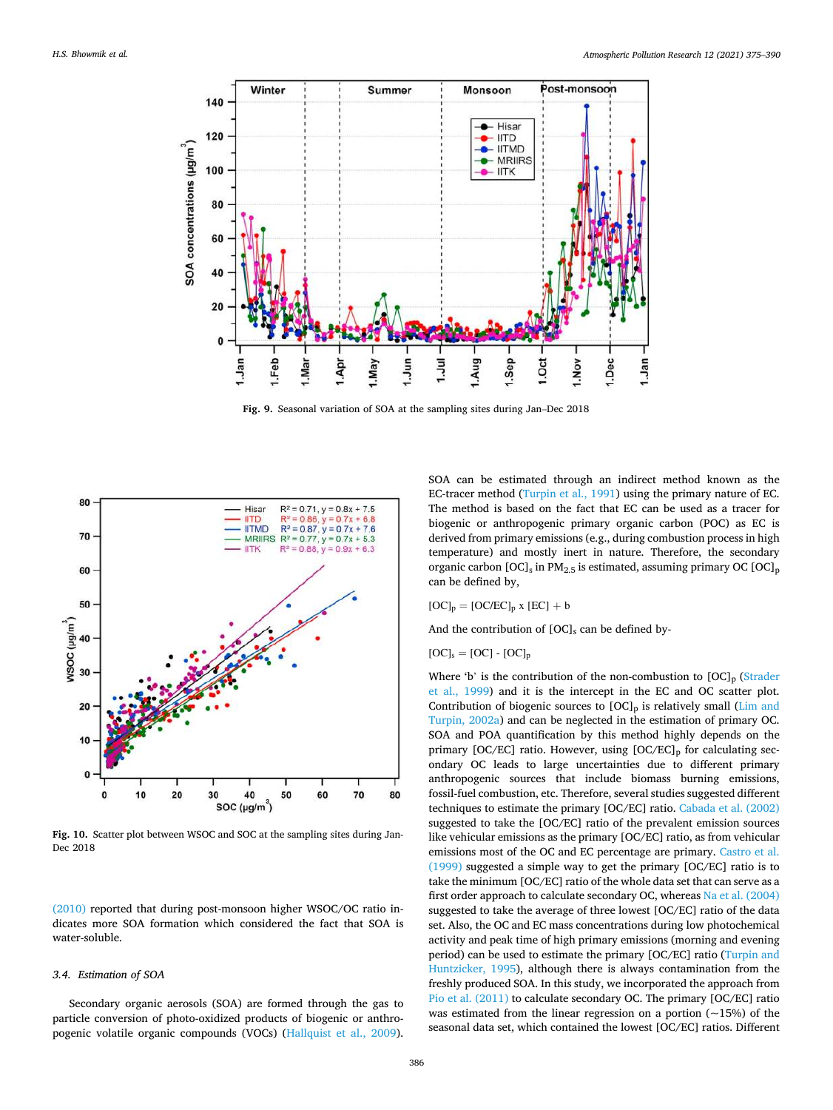<span id="page-11-0"></span>

**Fig. 9.** Seasonal variation of SOA at the sampling sites during Jan–Dec 2018



**Fig. 10.** Scatter plot between WSOC and SOC at the sampling sites during Jan-Dec 2018

[\(2010\)](#page-14-0) reported that during post-monsoon higher WSOC/OC ratio indicates more SOA formation which considered the fact that SOA is water-soluble.

# *3.4. Estimation of SOA*

Secondary organic aerosols (SOA) are formed through the gas to particle conversion of photo-oxidized products of biogenic or anthropogenic volatile organic compounds (VOCs) ([Hallquist et al., 2009](#page-13-0)).

SOA can be estimated through an indirect method known as the EC-tracer method ([Turpin et al., 1991](#page-15-0)) using the primary nature of EC. The method is based on the fact that EC can be used as a tracer for biogenic or anthropogenic primary organic carbon (POC) as EC is derived from primary emissions (e.g., during combustion process in high temperature) and mostly inert in nature. Therefore, the secondary organic carbon  $[OC]_s$  in PM<sub>2.5</sub> is estimated, assuming primary OC  $[OC]_p$ can be defined by,

$$
[OC]_p = [OC/EC]_p \times [EC] + b
$$

And the contribution of  $[OC]_s$  can be defined by-

$$
[OC]_s = [OC] - [OC]_p
$$

Where 'b' is the contribution of the non-combustion to  $[OC]_p$  (Strader [et al., 1999\)](#page-14-0) and it is the intercept in the EC and OC scatter plot. Contribution of biogenic sources to  $[OC]_D$  is relatively small (Lim and [Turpin, 2002a](#page-14-0)) and can be neglected in the estimation of primary OC. SOA and POA quantification by this method highly depends on the primary [OC/EC] ratio. However, using  $[OC/EC]_p$  for calculating secondary OC leads to large uncertainties due to different primary anthropogenic sources that include biomass burning emissions, fossil-fuel combustion, etc. Therefore, several studies suggested different techniques to estimate the primary [OC/EC] ratio. [Cabada et al. \(2002\)](#page-13-0)  suggested to take the [OC/EC] ratio of the prevalent emission sources like vehicular emissions as the primary [OC/EC] ratio, as from vehicular emissions most of the OC and EC percentage are primary. [Castro et al.](#page-13-0)  [\(1999\)](#page-13-0) suggested a simple way to get the primary [OC/EC] ratio is to take the minimum [OC/EC] ratio of the whole data set that can serve as a first order approach to calculate secondary OC, whereas [Na et al. \(2004\)](#page-14-0)  suggested to take the average of three lowest [OC/EC] ratio of the data set. Also, the OC and EC mass concentrations during low photochemical activity and peak time of high primary emissions (morning and evening period) can be used to estimate the primary [OC/EC] ratio ([Turpin and](#page-15-0)  [Huntzicker, 1995](#page-15-0)), although there is always contamination from the freshly produced SOA. In this study, we incorporated the approach from [Pio et al. \(2011\)](#page-14-0) to calculate secondary OC. The primary [OC/EC] ratio was estimated from the linear regression on a portion  $(-15%)$  of the seasonal data set, which contained the lowest [OC/EC] ratios. Different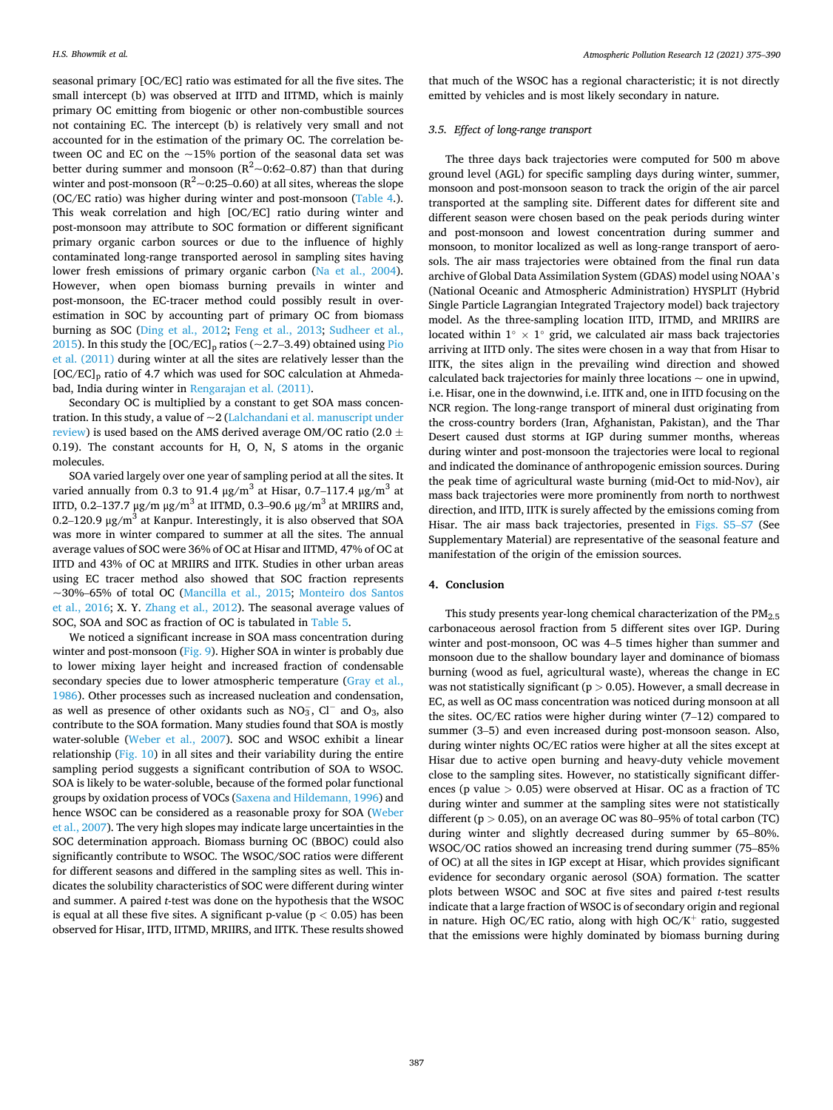seasonal primary [OC/EC] ratio was estimated for all the five sites. The small intercept (b) was observed at IITD and IITMD, which is mainly primary OC emitting from biogenic or other non-combustible sources not containing EC. The intercept (b) is relatively very small and not accounted for in the estimation of the primary OC. The correlation between OC and EC on the ~15% portion of the seasonal data set was better during summer and monsoon  $(R^2 \sim 0.62 - 0.87)$  than that during winter and post-monsoon ( $R^2 \sim 0.25-0.60$ ) at all sites, whereas the slope (OC/EC ratio) was higher during winter and post-monsoon [\(Table 4](#page-9-0).). This weak correlation and high [OC/EC] ratio during winter and post-monsoon may attribute to SOC formation or different significant primary organic carbon sources or due to the influence of highly contaminated long-range transported aerosol in sampling sites having lower fresh emissions of primary organic carbon ([Na et al., 2004](#page-14-0)). However, when open biomass burning prevails in winter and post-monsoon, the EC-tracer method could possibly result in overestimation in SOC by accounting part of primary OC from biomass burning as SOC [\(Ding et al., 2012](#page-13-0); [Feng et al., 2013](#page-13-0); [Sudheer et al.,](#page-14-0)  [2015\)](#page-14-0). In this study the  $[OC/EC]_p$  ratios (~2.7-3.49) obtained using Pio [et al. \(2011\)](#page-14-0) during winter at all the sites are relatively lesser than the  $[OC/EC]_p$  ratio of 4.7 which was used for SOC calculation at Ahmedabad, India during winter in [Rengarajan et al. \(2011\)](#page-14-0).

Secondary OC is multiplied by a constant to get SOA mass concentration. In this study, a value of ~2 [\(Lalchandani et al. manuscript under](#page-14-0)  [review](#page-14-0)) is used based on the AMS derived average OM/OC ratio (2.0  $\pm$ 0.19). The constant accounts for H, O, N, S atoms in the organic molecules.

SOA varied largely over one year of sampling period at all the sites. It varied annually from 0.3 to 91.4  $\mu$ g/m<sup>3</sup> at Hisar, 0.7–117.4  $\mu$ g/m<sup>3</sup> at IITD, 0.2–137.7 μg/m μg/m<sup>3</sup> at IITMD, 0.3–90.6 μg/m<sup>3</sup> at MRIIRS and, 0.2–120.9  $\mu$ g/m<sup>3</sup> at Kanpur. Interestingly, it is also observed that SOA was more in winter compared to summer at all the sites. The annual average values of SOC were 36% of OC at Hisar and IITMD, 47% of OC at IITD and 43% of OC at MRIIRS and IITK. Studies in other urban areas using EC tracer method also showed that SOC fraction represents ~30%–65% of total OC [\(Mancilla et al., 2015](#page-14-0); [Monteiro dos Santos](#page-14-0)  [et al., 2016;](#page-14-0) X. Y. [Zhang et al., 2012\)](#page-15-0). The seasonal average values of SOC, SOA and SOC as fraction of OC is tabulated in [Table 5](#page-10-0).

We noticed a significant increase in SOA mass concentration during winter and post-monsoon [\(Fig. 9\)](#page-11-0). Higher SOA in winter is probably due to lower mixing layer height and increased fraction of condensable secondary species due to lower atmospheric temperature (Gray et al., [1986\)](#page-13-0). Other processes such as increased nucleation and condensation, as well as presence of other oxidants such as  $NO<sub>3</sub>$ ,  $Cl<sup>-</sup>$  and  $O<sub>3</sub>$ , also contribute to the SOA formation. Many studies found that SOA is mostly water-soluble [\(Weber et al., 2007\)](#page-15-0). SOC and WSOC exhibit a linear relationship [\(Fig. 10\)](#page-11-0) in all sites and their variability during the entire sampling period suggests a significant contribution of SOA to WSOC. SOA is likely to be water-soluble, because of the formed polar functional groups by oxidation process of VOCs ([Saxena and Hildemann, 1996\)](#page-14-0) and hence WSOC can be considered as a reasonable proxy for SOA ([Weber](#page-15-0)  [et al., 2007](#page-15-0)). The very high slopes may indicate large uncertainties in the SOC determination approach. Biomass burning OC (BBOC) could also significantly contribute to WSOC. The WSOC/SOC ratios were different for different seasons and differed in the sampling sites as well. This indicates the solubility characteristics of SOC were different during winter and summer. A paired *t*-test was done on the hypothesis that the WSOC is equal at all these five sites. A significant p-value (p *<* 0.05) has been observed for Hisar, IITD, IITMD, MRIIRS, and IITK. These results showed

that much of the WSOC has a regional characteristic; it is not directly emitted by vehicles and is most likely secondary in nature.

#### *3.5. Effect of long-range transport*

The three days back trajectories were computed for 500 m above ground level (AGL) for specific sampling days during winter, summer, monsoon and post-monsoon season to track the origin of the air parcel transported at the sampling site. Different dates for different site and different season were chosen based on the peak periods during winter and post-monsoon and lowest concentration during summer and monsoon, to monitor localized as well as long-range transport of aerosols. The air mass trajectories were obtained from the final run data archive of Global Data Assimilation System (GDAS) model using NOAA's (National Oceanic and Atmospheric Administration) HYSPLIT (Hybrid Single Particle Lagrangian Integrated Trajectory model) back trajectory model. As the three-sampling location IITD, IITMD, and MRIIRS are located within  $1^\circ \times 1^\circ$  grid, we calculated air mass back trajectories arriving at IITD only. The sites were chosen in a way that from Hisar to IITK, the sites align in the prevailing wind direction and showed calculated back trajectories for mainly three locations  $\sim$  one in upwind, i.e. Hisar, one in the downwind, i.e. IITK and, one in IITD focusing on the NCR region. The long-range transport of mineral dust originating from the cross-country borders (Iran, Afghanistan, Pakistan), and the Thar Desert caused dust storms at IGP during summer months, whereas during winter and post-monsoon the trajectories were local to regional and indicated the dominance of anthropogenic emission sources. During the peak time of agricultural waste burning (mid-Oct to mid-Nov), air mass back trajectories were more prominently from north to northwest direction, and IITD, IITK is surely affected by the emissions coming from Hisar. The air mass back trajectories, presented in Figs. S5–S7 (See Supplementary Material) are representative of the seasonal feature and manifestation of the origin of the emission sources.

#### **4. Conclusion**

This study presents year-long chemical characterization of the  $PM_{2.5}$ carbonaceous aerosol fraction from 5 different sites over IGP. During winter and post-monsoon, OC was 4–5 times higher than summer and monsoon due to the shallow boundary layer and dominance of biomass burning (wood as fuel, agricultural waste), whereas the change in EC was not statistically significant (p *>* 0.05). However, a small decrease in EC, as well as OC mass concentration was noticed during monsoon at all the sites. OC/EC ratios were higher during winter (7–12) compared to summer (3–5) and even increased during post-monsoon season. Also, during winter nights OC/EC ratios were higher at all the sites except at Hisar due to active open burning and heavy-duty vehicle movement close to the sampling sites. However, no statistically significant differences (p value *>* 0.05) were observed at Hisar. OC as a fraction of TC during winter and summer at the sampling sites were not statistically different (p *>* 0.05), on an average OC was 80–95% of total carbon (TC) during winter and slightly decreased during summer by 65–80%. WSOC/OC ratios showed an increasing trend during summer (75–85% of OC) at all the sites in IGP except at Hisar, which provides significant evidence for secondary organic aerosol (SOA) formation. The scatter plots between WSOC and SOC at five sites and paired *t*-test results indicate that a large fraction of WSOC is of secondary origin and regional in nature. High OC/EC ratio, along with high OC/K<sup>+</sup> ratio, suggested that the emissions were highly dominated by biomass burning during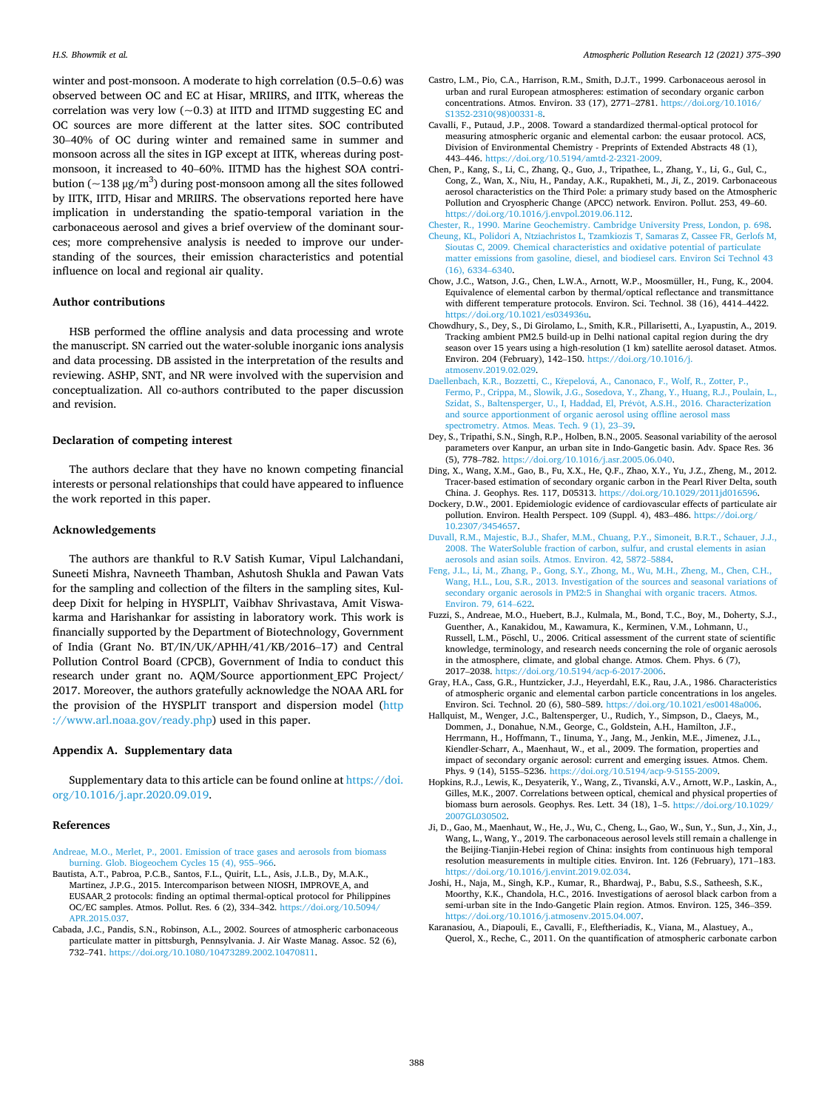<span id="page-13-0"></span>winter and post-monsoon. A moderate to high correlation (0.5–0.6) was observed between OC and EC at Hisar, MRIIRS, and IITK, whereas the correlation was very low  $(-0.3)$  at IITD and IITMD suggesting EC and OC sources are more different at the latter sites. SOC contributed 30–40% of OC during winter and remained same in summer and monsoon across all the sites in IGP except at IITK, whereas during postmonsoon, it increased to 40–60%. IITMD has the highest SOA contribution ( $\sim$ 138 μg/m $^3$ ) during post-monsoon among all the sites followed by IITK, IITD, Hisar and MRIIRS. The observations reported here have implication in understanding the spatio-temporal variation in the carbonaceous aerosol and gives a brief overview of the dominant sources; more comprehensive analysis is needed to improve our understanding of the sources, their emission characteristics and potential influence on local and regional air quality.

#### **Author contributions**

HSB performed the offline analysis and data processing and wrote the manuscript. SN carried out the water-soluble inorganic ions analysis and data processing. DB assisted in the interpretation of the results and reviewing. ASHP, SNT, and NR were involved with the supervision and conceptualization. All co-authors contributed to the paper discussion and revision.

# **Declaration of competing interest**

The authors declare that they have no known competing financial interests or personal relationships that could have appeared to influence the work reported in this paper.

# **Acknowledgements**

The authors are thankful to R.V Satish Kumar, Vipul Lalchandani, Suneeti Mishra, Navneeth Thamban, Ashutosh Shukla and Pawan Vats for the sampling and collection of the filters in the sampling sites, Kuldeep Dixit for helping in HYSPLIT, Vaibhav Shrivastava, Amit Viswakarma and Harishankar for assisting in laboratory work. This work is financially supported by the Department of Biotechnology, Government of India (Grant No. BT/IN/UK/APHH/41/KB/2016–17) and Central Pollution Control Board (CPCB), Government of India to conduct this research under grant no. AQM/Source apportionment\_EPC Project/ 2017. Moreover, the authors gratefully acknowledge the NOAA ARL for the provision of the HYSPLIT transport and dispersion model [\(http](http://www.arl.noaa.gov/ready.php)  [://www.arl.noaa.gov/ready.php\)](http://www.arl.noaa.gov/ready.php) used in this paper.

#### **Appendix A. Supplementary data**

Supplementary data to this article can be found online at [https://doi.](https://doi.org/10.1016/j.apr.2020.09.019)  [org/10.1016/j.apr.2020.09.019](https://doi.org/10.1016/j.apr.2020.09.019).

#### **References**

- [Andreae, M.O., Merlet, P., 2001. Emission of trace gases and aerosols from biomass](http://refhub.elsevier.com/S1309-1042(20)30288-9/optFQduHououe) [burning. Glob. Biogeochem Cycles 15 \(4\), 955](http://refhub.elsevier.com/S1309-1042(20)30288-9/optFQduHououe)–966.
- Bautista, A.T., Pabroa, P.C.B., Santos, F.L., Quirit, L.L., Asis, J.L.B., Dy, M.A.K., Martinez, J.P.G., 2015. Intercomparison between NIOSH, IMPROVE\_A, and EUSAAR\_2 protocols: finding an optimal thermal-optical protocol for Philippines OC/EC samples. Atmos. Pollut. Res. 6 (2), 334–342. [https://doi.org/10.5094/](https://doi.org/10.5094/APR.2015.037) [APR.2015.037](https://doi.org/10.5094/APR.2015.037).
- Cabada, J.C., Pandis, S.N., Robinson, A.L., 2002. Sources of atmospheric carbonaceous particulate matter in pittsburgh, Pennsylvania. J. Air Waste Manag. Assoc. 52 (6),<br>732–741. <https://doi.org/10.1080/10473289.2002.10470811>.
- Castro, L.M., Pio, C.A., Harrison, R.M., Smith, D.J.T., 1999. Carbonaceous aerosol in urban and rural European atmospheres: estimation of secondary organic carbon concentrations. Atmos. Environ. 33 (17), 2771–2781. [https://doi.org/10.1016/](https://doi.org/10.1016/S1352-2310(98)00331-8)  [S1352-2310\(98\)00331-8](https://doi.org/10.1016/S1352-2310(98)00331-8).
- Cavalli, F., Putaud, J.P., 2008. Toward a standardized thermal-optical protocol for measuring atmospheric organic and elemental carbon: the eusaar protocol. ACS, Division of Environmental Chemistry - Preprints of Extended Abstracts 48 (1), 443–446. [https://doi.org/10.5194/amtd-2-2321-2009.](https://doi.org/10.5194/amtd-2-2321-2009)
- Chen, P., Kang, S., Li, C., Zhang, Q., Guo, J., Tripathee, L., Zhang, Y., Li, G., Gul, C., Cong, Z., Wan, X., Niu, H., Panday, A.K., Rupakheti, M., Ji, Z., 2019. Carbonaceous aerosol characteristics on the Third Pole: a primary study based on the Atmospheric Pollution and Cryospheric Change (APCC) network. Environ. Pollut. 253, 49–60. [https://doi.org/10.1016/j.envpol.2019.06.112.](https://doi.org/10.1016/j.envpol.2019.06.112)
- [Chester, R., 1990. Marine Geochemistry. Cambridge University Press, London, p. 698](http://refhub.elsevier.com/S1309-1042(20)30288-9/sref9). [Cheung, KL, Polidori A, Ntziachristos L, Tzamkiozis T, Samaras Z, Cassee FR, Gerlofs M,](http://refhub.elsevier.com/S1309-1042(20)30288-9/opthgToDbMvim)  [Sioutas C, 2009. Chemical characteristics and oxidative potential of particulate](http://refhub.elsevier.com/S1309-1042(20)30288-9/opthgToDbMvim) [matter emissions from gasoline, diesel, and biodiesel cars. Environ Sci Technol 43](http://refhub.elsevier.com/S1309-1042(20)30288-9/opthgToDbMvim)  [\(16\), 6334](http://refhub.elsevier.com/S1309-1042(20)30288-9/opthgToDbMvim)–6340.
- Chow, J.C., Watson, J.G., Chen, L.W.A., Arnott, W.P., Moosmüller, H., Fung, K., 2004. Equivalence of elemental carbon by thermal/optical reflectance and transmittance with different temperature protocols. Environ. Sci. Technol. 38 (16), 4414–4422. <https://doi.org/10.1021/es034936u>.
- Chowdhury, S., Dey, S., Di Girolamo, L., Smith, K.R., Pillarisetti, A., Lyapustin, A., 2019. Tracking ambient PM2.5 build-up in Delhi national capital region during the dry season over 15 years using a high-resolution (1 km) satellite aerosol dataset. Atmos. Environ. 204 (February), 142–150. [https://doi.org/10.1016/j.](https://doi.org/10.1016/j.atmosenv.2019.02.029)  [atmosenv.2019.02.029](https://doi.org/10.1016/j.atmosenv.2019.02.029).
- Daellenbach, K.R., Bozzetti, C., Křepelová, A., Canonaco, F., Wolf, R., Zotter, P., [Fermo, P., Crippa, M., Slowik, J.G., Sosedova, Y., Zhang, Y., Huang, R.J., Poulain, L.,](http://refhub.elsevier.com/S1309-1042(20)30288-9/sref12)  [Szidat, S., Baltensperger, U., I, Haddad, El, Pr](http://refhub.elsevier.com/S1309-1042(20)30288-9/sref12)évôt, A.S.H., 2016. Characterization [and source apportionment of organic aerosol using offline aerosol mass](http://refhub.elsevier.com/S1309-1042(20)30288-9/sref12) [spectrometry. Atmos. Meas. Tech. 9 \(1\), 23](http://refhub.elsevier.com/S1309-1042(20)30288-9/sref12)–39.
- Dey, S., Tripathi, S.N., Singh, R.P., Holben, B.N., 2005. Seasonal variability of the aerosol parameters over Kanpur, an urban site in Indo-Gangetic basin. Adv. Space Res. 36 (5), 778–782. [https://doi.org/10.1016/j.asr.2005.06.040.](https://doi.org/10.1016/j.asr.2005.06.040)
- Ding, X., Wang, X.M., Gao, B., Fu, X.X., He, Q.F., Zhao, X.Y., Yu, J.Z., Zheng, M., 2012. Tracer-based estimation of secondary organic carbon in the Pearl River Delta, south China. J. Geophys. Res. 117, D05313. [https://doi.org/10.1029/2011jd016596.](https://doi.org/10.1029/2011jd016596)
- Dockery, D.W., 2001. Epidemiologic evidence of cardiovascular effects of particulate air pollution. Environ. Health Perspect. 109 (Suppl. 4), 483-486. https://doi.org/ [10.2307/3454657](https://doi.org/10.2307/3454657).
- [Duvall, R.M., Majestic, B.J., Shafer, M.M., Chuang, P.Y., Simoneit, B.R.T., Schauer, J.J.,](http://refhub.elsevier.com/S1309-1042(20)30288-9/sref16)  [2008. The WaterSoluble fraction of carbon, sulfur, and crustal elements in asian](http://refhub.elsevier.com/S1309-1042(20)30288-9/sref16)  [aerosols and asian soils. Atmos. Environ. 42, 5872](http://refhub.elsevier.com/S1309-1042(20)30288-9/sref16)–5884.
- [Feng, J.L., Li, M., Zhang, P., Gong, S.Y., Zhong, M., Wu, M.H., Zheng, M., Chen, C.H.,](http://refhub.elsevier.com/S1309-1042(20)30288-9/sref17) [Wang, H.L., Lou, S.R., 2013. Investigation of the sources and seasonal variations of](http://refhub.elsevier.com/S1309-1042(20)30288-9/sref17)  [secondary organic aerosols in PM2:5 in Shanghai with organic tracers. Atmos.](http://refhub.elsevier.com/S1309-1042(20)30288-9/sref17)  [Environ. 79, 614](http://refhub.elsevier.com/S1309-1042(20)30288-9/sref17)–622.
- Fuzzi, S., Andreae, M.O., Huebert, B.J., Kulmala, M., Bond, T.C., Boy, M., Doherty, S.J., Guenther, A., Kanakidou, M., Kawamura, K., Kerminen, V.M., Lohmann, U., Russell, L.M., Pöschl, U., 2006. Critical assessment of the current state of scientific knowledge, terminology, and research needs concerning the role of organic aerosols in the atmosphere, climate, and global change. Atmos. Chem. Phys. 6 (7), 2017–2038.<https://doi.org/10.5194/acp-6-2017-2006>.
- Gray, H.A., Cass, G.R., Huntzicker, J.J., Heyerdahl, E.K., Rau, J.A., 1986. Characteristics of atmospheric organic and elemental carbon particle concentrations in los angeles. Environ. Sci. Technol. 20 (6), 580–589. [https://doi.org/10.1021/es00148a006.](https://doi.org/10.1021/es00148a006)
- Hallquist, M., Wenger, J.C., Baltensperger, U., Rudich, Y., Simpson, D., Claeys, M., Dommen, J., Donahue, N.M., George, C., Goldstein, A.H., Hamilton, J.F., Herrmann, H., Hoffmann, T., Iinuma, Y., Jang, M., Jenkin, M.E., Jimenez, J.L., Kiendler-Scharr, A., Maenhaut, W., et al., 2009. The formation, properties and impact of secondary organic aerosol: current and emerging issues. Atmos. Chem. Phys. 9 (14), 5155–5236. <https://doi.org/10.5194/acp-9-5155-2009>.
- Hopkins, R.J., Lewis, K., Desyaterik, Y., Wang, Z., Tivanski, A.V., Arnott, W.P., Laskin, A., Gilles, M.K., 2007. Correlations between optical, chemical and physical properties of biomass burn aerosols. Geophys. Res. Lett. 34 (18), 1–5. [https://doi.org/10.1029/](https://doi.org/10.1029/2007GL030502) [2007GL030502](https://doi.org/10.1029/2007GL030502).
- Ji, D., Gao, M., Maenhaut, W., He, J., Wu, C., Cheng, L., Gao, W., Sun, Y., Sun, J., Xin, J., Wang, L., Wang, Y., 2019. The carbonaceous aerosol levels still remain a challenge in the Beijing-Tianjin-Hebei region of China: insights from continuous high temporal resolution measurements in multiple cities. Environ. Int. 126 (February), 171–183. //doi.org/10.1016/j.envint.2019.02.034.
- Joshi, H., Naja, M., Singh, K.P., Kumar, R., Bhardwaj, P., Babu, S.S., Satheesh, S.K., Moorthy, K.K., Chandola, H.C., 2016. Investigations of aerosol black carbon from a semi-urban site in the Indo-Gangetic Plain region. Atmos. Environ. 125, 346–359. [https://doi.org/10.1016/j.atmosenv.2015.04.007.](https://doi.org/10.1016/j.atmosenv.2015.04.007)
- Karanasiou, A., Diapouli, E., Cavalli, F., Eleftheriadis, K., Viana, M., Alastuey, A., Querol, X., Reche, C., 2011. On the quantification of atmospheric carbonate carbon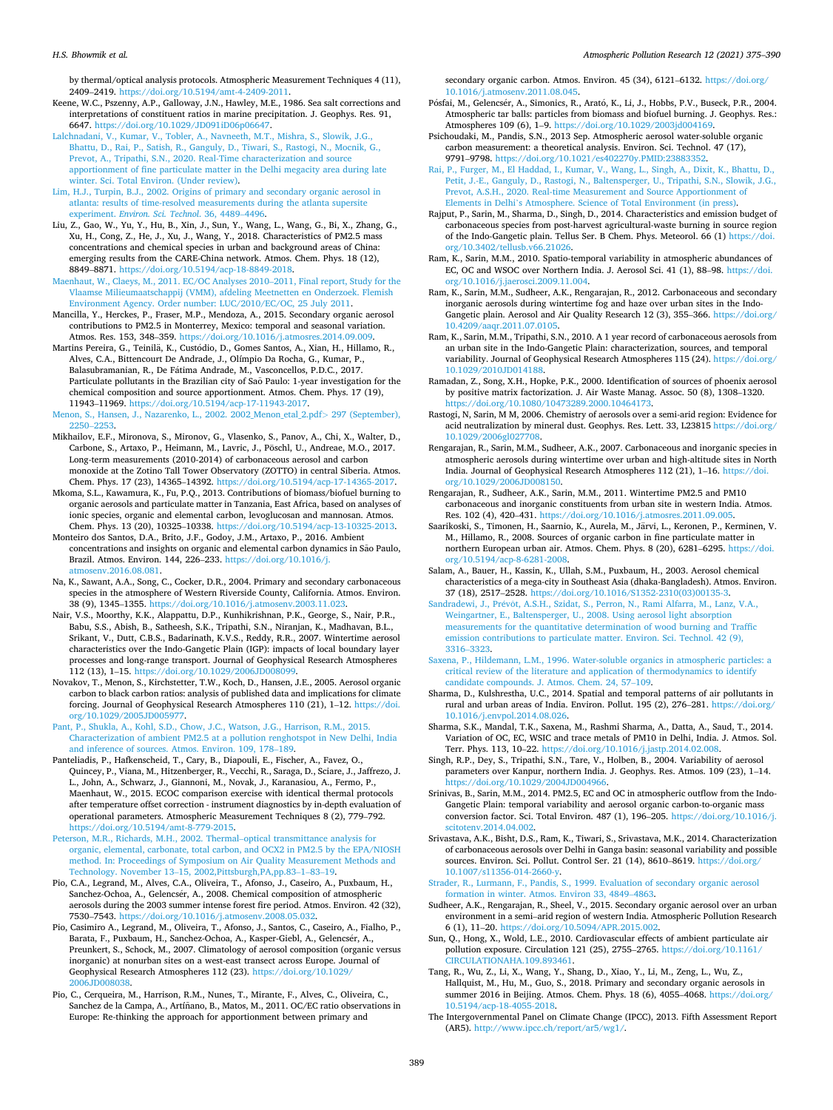<span id="page-14-0"></span>by thermal/optical analysis protocols. Atmospheric Measurement Techniques 4 (11), 2409–2419.<https://doi.org/10.5194/amt-4-2409-2011>.

- Keene, W.C., Pszenny, A.P., Galloway, J.N., Hawley, M.E., 1986. Sea salt corrections and interpretations of constituent ratios in marine precipitation. J. Geophys. Res. 91, 6647. <https://doi.org/10.1029/JD091iD06p06647>.
- [Lalchnadani, V., Kumar, V., Tobler, A., Navneeth, M.T., Mishra, S., Slowik, J.G.,](http://refhub.elsevier.com/S1309-1042(20)30288-9/sref27)  [Bhattu, D., Rai, P., Satish, R., Ganguly, D., Tiwari, S., Rastogi, N., Mocnik, G.,](http://refhub.elsevier.com/S1309-1042(20)30288-9/sref27) [Prevot, A., Tripathi, S.N., 2020. Real-Time characterization and source](http://refhub.elsevier.com/S1309-1042(20)30288-9/sref27)  [apportionment of fine particulate matter in the Delhi megacity area during late](http://refhub.elsevier.com/S1309-1042(20)30288-9/sref27) [winter. Sci. Total Environ. \(Under review\)](http://refhub.elsevier.com/S1309-1042(20)30288-9/sref27).
- [Lim, H.J., Turpin, B.J., 2002. Origins of primary and secondary organic aerosol in](http://refhub.elsevier.com/S1309-1042(20)30288-9/sref28) [atlanta: results of time-resolved measurements during the atlanta supersite](http://refhub.elsevier.com/S1309-1042(20)30288-9/sref28)  experiment. *[Environ. Sci. Technol](http://refhub.elsevier.com/S1309-1042(20)30288-9/sref28)*. 36, 4489–4496.
- Liu, Z., Gao, W., Yu, Y., Hu, B., Xin, J., Sun, Y., Wang, L., Wang, G., Bi, X., Zhang, G., Xu, H., Cong, Z., He, J., Xu, J., Wang, Y., 2018. Characteristics of PM2.5 mass concentrations and chemical species in urban and background areas of China: emerging results from the CARE-China network. Atmos. Chem. Phys. 18 (12), 8849–8871. [https://doi.org/10.5194/acp-18-8849-2018.](https://doi.org/10.5194/acp-18-8849-2018)
- [Maenhaut, W., Claeys, M., 2011. EC](http://refhub.elsevier.com/S1309-1042(20)30288-9/sref30)*/*OC Analyses 2010–2011, Final report, Study for the [Vlaamse Milieumaatschappij \(VMM\), afdeling Meetnetten en Onderzoek. Flemish](http://refhub.elsevier.com/S1309-1042(20)30288-9/sref30) [Environment Agency. Order number: LUC/2010/EC/OC, 25 July 2011.](http://refhub.elsevier.com/S1309-1042(20)30288-9/sref30)
- Mancilla, Y., Herckes, P., Fraser, M.P., Mendoza, A., 2015. Secondary organic aerosol contributions to PM2.5 in Monterrey, Mexico: temporal and seasonal variation. Atmos. Res. 153, 348–359.<https://doi.org/10.1016/j.atmosres.2014.09.009>.
- Martins Pereira, G., Teinilä, K., Custódio, D., Gomes Santos, A., Xian, H., Hillamo, R., Alves, C.A., Bittencourt De Andrade, J., Olímpio Da Rocha, G., Kumar, P., Balasubramanian, R., De Fátima Andrade, M., Vasconcellos, P.D.C., 2017. Particulate pollutants in the Brazilian city of Sao Paulo: 1-year investigation for the chemical composition and source apportionment. Atmos. Chem. Phys. 17 (19), 11943–11969. [https://doi.org/10.5194/acp-17-11943-2017.](https://doi.org/10.5194/acp-17-11943-2017)
- [Menon, S., Hansen, J., Nazarenko, L., 2002. 2002\\_Menon\\_etal\\_2.pdf](http://refhub.elsevier.com/S1309-1042(20)30288-9/sref33)*>* 297 (September), [2250](http://refhub.elsevier.com/S1309-1042(20)30288-9/sref33)–2253.
- Mikhailov, E.F., Mironova, S., Mironov, G., Vlasenko, S., Panov, A., Chi, X., Walter, D., Carbone, S., Artaxo, P., Heimann, M., Lavric, J., Poschl, U., Andreae, M.O., 2017. ¨ Long-term measurements (2010-2014) of carbonaceous aerosol and carbon monoxide at the Zotino Tall Tower Observatory (ZOTTO) in central Siberia. Atmos. Chem. Phys. 17 (23), 14365–14392. <https://doi.org/10.5194/acp-17-14365-2017>.
- Mkoma, S.L., Kawamura, K., Fu, P.Q., 2013. Contributions of biomass/biofuel burning to organic aerosols and particulate matter in Tanzania, East Africa, based on analyses of ionic species, organic and elemental carbon, levoglucosan and mannosan. Atmos. Chem. Phys. 13 (20), 10325–10338. <https://doi.org/10.5194/acp-13-10325-2013>.
- Monteiro dos Santos, D.A., Brito, J.F., Godoy, J.M., Artaxo, P., 2016. Ambient concentrations and insights on organic and elemental carbon dynamics in São Paulo, Brazil. Atmos. Environ. 144, 226–233. [https://doi.org/10.1016/j.](https://doi.org/10.1016/j.atmosenv.2016.08.081)  [atmosenv.2016.08.081](https://doi.org/10.1016/j.atmosenv.2016.08.081).
- Na, K., Sawant, A.A., Song, C., Cocker, D.R., 2004. Primary and secondary carbonaceous species in the atmosphere of Western Riverside County, California. Atmos. Environ. 38 (9), 1345–1355. <https://doi.org/10.1016/j.atmosenv.2003.11.023>.
- Nair, V.S., Moorthy, K.K., Alappattu, D.P., Kunhikrishnan, P.K., George, S., Nair, P.R., Babu, S.S., Abish, B., Satheesh, S.K., Tripathi, S.N., Niranjan, K., Madhavan, B.L., Srikant, V., Dutt, C.B.S., Badarinath, K.V.S., Reddy, R.R., 2007. Wintertime aerosol characteristics over the Indo-Gangetic Plain (IGP): impacts of local boundary layer processes and long-range transport. Journal of Geophysical Research Atmospheres 112 (13), 1–15. <https://doi.org/10.1029/2006JD008099>.
- Novakov, T., Menon, S., Kirchstetter, T.W., Koch, D., Hansen, J.E., 2005. Aerosol organic carbon to black carbon ratios: analysis of published data and implications for climate forcing. Journal of Geophysical Research Atmospheres 110 (21), 1–12. [https://doi.](https://doi.org/10.1029/2005JD005977) [org/10.1029/2005JD005977.](https://doi.org/10.1029/2005JD005977)
- [Pant, P., Shukla, A., Kohl, S.D., Chow, J.C., Watson, J.G., Harrison, R.M., 2015.](http://refhub.elsevier.com/S1309-1042(20)30288-9/sref40) [Characterization of ambient PM2.5 at a pollution renghotspot in New Delhi, India](http://refhub.elsevier.com/S1309-1042(20)30288-9/sref40)  [and inference of sources. Atmos. Environ. 109, 178](http://refhub.elsevier.com/S1309-1042(20)30288-9/sref40)–189.
- Panteliadis, P., Hafkenscheid, T., Cary, B., Diapouli, E., Fischer, A., Favez, O., Quincey, P., Viana, M., Hitzenberger, R., Vecchi, R., Saraga, D., Sciare, J., Jaffrezo, J. L., John, A., Schwarz, J., Giannoni, M., Novak, J., Karanasiou, A., Fermo, P., Maenhaut, W., 2015. ECOC comparison exercise with identical thermal protocols after temperature offset correction - instrument diagnostics by in-depth evaluation of operational parameters. Atmospheric Measurement Techniques 8 (2), 779–792. <https://doi.org/10.5194/amt-8-779-2015>.
- [Peterson, M.R., Richards, M.H., 2002. Thermal](http://refhub.elsevier.com/S1309-1042(20)30288-9/sref42)–optical transmittance analysis for [organic, elemental, carbonate, total carbon, and OCX2 in PM2.5 by the EPA/NIOSH](http://refhub.elsevier.com/S1309-1042(20)30288-9/sref42)  [method. In: Proceedings of Symposium on Air Quality Measurement Methods and](http://refhub.elsevier.com/S1309-1042(20)30288-9/sref42) Technology. November 13–[15, 2002,Pittsburgh,PA,pp.83](http://refhub.elsevier.com/S1309-1042(20)30288-9/sref42)–1–83–19.
- Pio, C.A., Legrand, M., Alves, C.A., Oliveira, T., Afonso, J., Caseiro, A., Puxbaum, H., Sanchez-Ochoa, A., Gelencsér, A., 2008. Chemical composition of atmospheric aerosols during the 2003 summer intense forest fire period. Atmos. Environ. 42 (32), 7530–7543.<https://doi.org/10.1016/j.atmosenv.2008.05.032>.
- Pio, Casimiro A., Legrand, M., Oliveira, T., Afonso, J., Santos, C., Caseiro, A., Fialho, P., Barata, F., Puxbaum, H., Sanchez-Ochoa, A., Kasper-Giebl, A., Gelencsér, A., Preunkert, S., Schock, M., 2007. Climatology of aerosol composition (organic versus inorganic) at nonurban sites on a west-east transect across Europe. Journal of Geophysical Research Atmospheres 112 (23). [https://doi.org/10.1029/](https://doi.org/10.1029/2006JD008038) [2006JD008038.](https://doi.org/10.1029/2006JD008038)
- Pio, C., Cerqueira, M., Harrison, R.M., Nunes, T., Mirante, F., Alves, C., Oliveira, C., Sanchez de la Campa, A., Artíñano, B., Matos, M., 2011. OC/EC ratio observations in Europe: Re-thinking the approach for apportionment between primary and

secondary organic carbon. Atmos. Environ. 45 (34), 6121-6132. https://doi.org/ [10.1016/j.atmosenv.2011.08.045](https://doi.org/10.1016/j.atmosenv.2011.08.045).

- Pósfai, M., Gelencsér, A., Simonics, R., Arató, K., Li, J., Hobbs, P.V., Buseck, P.R., 2004. Atmospheric tar balls: particles from biomass and biofuel burning. J. Geophys. Res.: Atmospheres 109 (6), 1-9. https://doi.org/10.1029/2003jd00416
- Psichoudaki, M., Pandis, S.N., 2013 Sep. Atmospheric aerosol water-soluble organic carbon measurement: a theoretical analysis. Environ. Sci. Technol. 47 (17), 9791–9798. [https://doi.org/10.1021/es402270y.PMID:23883352.](https://doi.org/10.1021/es402270y.PMID:23883352)
- [Rai, P., Furger, M., El Haddad, I., Kumar, V., Wang, L., Singh, A., Dixit, K., Bhattu, D.,](http://refhub.elsevier.com/S1309-1042(20)30288-9/sref48) [Petit, J.-E., Ganguly, D., Rastogi, N., Baltensperger, U., Tripathi, S.N., Slowik, J.G.,](http://refhub.elsevier.com/S1309-1042(20)30288-9/sref48) [Prevot, A.S.H., 2020. Real-time Measurement and Source Apportionment of](http://refhub.elsevier.com/S1309-1042(20)30288-9/sref48) Elements in Delhi'[s Atmosphere. Science of Total Environment \(in press\).](http://refhub.elsevier.com/S1309-1042(20)30288-9/sref48)
- Rajput, P., Sarin, M., Sharma, D., Singh, D., 2014. Characteristics and emission budget of carbonaceous species from post-harvest agricultural-waste burning in source region of the Indo-Gangetic plain. Tellus Ser. B Chem. Phys. Meteorol. 66 (1) [https://doi.](https://doi.org/10.3402/tellusb.v66.21026) [org/10.3402/tellusb.v66.21026](https://doi.org/10.3402/tellusb.v66.21026).
- Ram, K., Sarin, M.M., 2010. Spatio-temporal variability in atmospheric abundances of EC, OC and WSOC over Northern India. J. Aerosol Sci. 41 (1), 88–98. [https://doi.](https://doi.org/10.1016/j.jaerosci.2009.11.004)  [org/10.1016/j.jaerosci.2009.11.004](https://doi.org/10.1016/j.jaerosci.2009.11.004).
- Ram, K., Sarin, M.M., Sudheer, A.K., Rengarajan, R., 2012. Carbonaceous and secondary inorganic aerosols during wintertime fog and haze over urban sites in the Indo-Gangetic plain. Aerosol and Air Quality Research 12 (3), 355–366. [https://doi.org/](https://doi.org/10.4209/aaqr.2011.07.0105)  [10.4209/aaqr.2011.07.0105.](https://doi.org/10.4209/aaqr.2011.07.0105)
- Ram, K., Sarin, M.M., Tripathi, S.N., 2010. A 1 year record of carbonaceous aerosols from an urban site in the Indo-Gangetic Plain: characterization, sources, and temporal variability. Journal of Geophysical Research Atmospheres 115 (24). [https://doi.org/](https://doi.org/10.1029/2010JD014188)  [10.1029/2010JD014188](https://doi.org/10.1029/2010JD014188).
- Ramadan, Z., Song, X.H., Hopke, P.K., 2000. Identification of sources of phoenix aerosol by positive matrix factorization. J. Air Waste Manag. Assoc. 50 (8), 1308–1320. [https://doi.org/10.1080/10473289.2000.10464173.](https://doi.org/10.1080/10473289.2000.10464173)
- Rastogi, N, Sarin, M M, 2006. Chemistry of aerosols over a semi-arid region: Evidence for acid neutralization by mineral dust. Geophys. Res. Lett. 33, L23815 [https://doi.org/](https://doi.org/10.1029/2006gl027708)  [10.1029/2006gl027708](https://doi.org/10.1029/2006gl027708).
- Rengarajan, R., Sarin, M.M., Sudheer, A.K., 2007. Carbonaceous and inorganic species in atmospheric aerosols during wintertime over urban and high-altitude sites in North India. Journal of Geophysical Research Atmospheres 112 (21), 1–16. [https://doi.](https://doi.org/10.1029/2006JD008150) [org/10.1029/2006JD008150.](https://doi.org/10.1029/2006JD008150)
- Rengarajan, R., Sudheer, A.K., Sarin, M.M., 2011. Wintertime PM2.5 and PM10 carbonaceous and inorganic constituents from urban site in western India. Atmos. Res. 102 (4), 420–431. <https://doi.org/10.1016/j.atmosres.2011.09.005>.
- Saarikoski, S., Timonen, H., Saarnio, K., Aurela, M., Jarvi, L., Keronen, P., Kerminen, V. ¨ M., Hillamo, R., 2008. Sources of organic carbon in fine particulate matter in northern European urban air. Atmos. Chem. Phys. 8 (20), 6281–6295. [https://doi.](https://doi.org/10.5194/acp-8-6281-2008)  [org/10.5194/acp-8-6281-2008.](https://doi.org/10.5194/acp-8-6281-2008)
- Salam, A., Bauer, H., Kassin, K., Ullah, S.M., Puxbaum, H., 2003. Aerosol chemical characteristics of a mega-city in Southeast Asia (dhaka-Bangladesh). Atmos. Environ. 37 (18), 2517–2528. [https://doi.org/10.1016/S1352-2310\(03\)00135-3.](https://doi.org/10.1016/S1352-2310(03)00135-3)
- Sandradewi, J., Prévôt, A.S.H., Szidat, S., Perron, N., Rami Alfarra, M., Lanz, V.A. [Weingartner, E., Baltensperger, U., 2008. Using aerosol light absorption](http://refhub.elsevier.com/S1309-1042(20)30288-9/sref58)  [measurements for the quantitative determination of wood burning and Traffic](http://refhub.elsevier.com/S1309-1042(20)30288-9/sref58) [emission contributions to particulate matter. Environ. Sci. Technol. 42 \(9\),](http://refhub.elsevier.com/S1309-1042(20)30288-9/sref58)  [3316](http://refhub.elsevier.com/S1309-1042(20)30288-9/sref58)–3323.
- [Saxena, P., Hildemann, L.M., 1996. Water-soluble organics in atmospheric particles: a](http://refhub.elsevier.com/S1309-1042(20)30288-9/sref59)  [critical review of the literature and application of thermodynamics to identify](http://refhub.elsevier.com/S1309-1042(20)30288-9/sref59) [candidate compounds. J. Atmos. Chem. 24, 57](http://refhub.elsevier.com/S1309-1042(20)30288-9/sref59)–109.
- Sharma, D., Kulshrestha, U.C., 2014. Spatial and temporal patterns of air pollutants in rural and urban areas of India. Environ. Pollut. 195 (2), 276–281. [https://doi.org/](https://doi.org/10.1016/j.envpol.2014.08.026) [10.1016/j.envpol.2014.08.026](https://doi.org/10.1016/j.envpol.2014.08.026).
- Sharma, S.K., Mandal, T.K., Saxena, M., Rashmi Sharma, A., Datta, A., Saud, T., 2014. Variation of OC, EC, WSIC and trace metals of PM10 in Delhi, India. J. Atmos. Sol. Terr. Phys. 113, 10–22. <https://doi.org/10.1016/j.jastp.2014.02.008>.
- Singh, R.P., Dey, S., Tripathi, S.N., Tare, V., Holben, B., 2004. Variability of aerosol parameters over Kanpur, northern India. J. Geophys. Res. Atmos. 109 (23), 1–14. [https://doi.org/10.1029/2004JD004966.](https://doi.org/10.1029/2004JD004966)
- Srinivas, B., Sarin, M.M., 2014. PM2.5, EC and OC in atmospheric outflow from the Indo-Gangetic Plain: temporal variability and aerosol organic carbon-to-organic mass conversion factor. Sci. Total Environ. 487 (1), 196–205. [https://doi.org/10.1016/j.](https://doi.org/10.1016/j.scitotenv.2014.04.002)  scitoteny. 2014.04.002
- Srivastava, A.K., Bisht, D.S., Ram, K., Tiwari, S., Srivastava, M.K., 2014. Characterization of carbonaceous aerosols over Delhi in Ganga basin: seasonal variability and possible sources. Environ. Sci. Pollut. Control Ser. 21 (14), 8610–8619. [https://doi.org/](https://doi.org/10.1007/s11356-014-2660-y)  [10.1007/s11356-014-2660-y](https://doi.org/10.1007/s11356-014-2660-y).
- [Strader, R., Lurmann, F., Pandis, S., 1999. Evaluation of secondary organic aerosol](http://refhub.elsevier.com/S1309-1042(20)30288-9/sref66) [formation in winter. Atmos. Environ 33, 4849](http://refhub.elsevier.com/S1309-1042(20)30288-9/sref66)–4863.
- Sudheer, A.K., Rengarajan, R., Sheel, V., 2015. Secondary organic aerosol over an urban environment in a semi–arid region of western India. Atmospheric Pollution Research 6 (1), 11–20. [https://doi.org/10.5094/APR.2015.002.](https://doi.org/10.5094/APR.2015.002)
- Sun, Q., Hong, X., Wold, L.E., 2010. Cardiovascular effects of ambient particulate air pollution exposure. Circulation 121 (25), 2755–2765. [https://doi.org/10.1161/](https://doi.org/10.1161/CIRCULATIONAHA.109.893461) [CIRCULATIONAHA.109.893461](https://doi.org/10.1161/CIRCULATIONAHA.109.893461).
- Tang, R., Wu, Z., Li, X., Wang, Y., Shang, D., Xiao, Y., Li, M., Zeng, L., Wu, Z., Hallquist, M., Hu, M., Guo, S., 2018. Primary and secondary organic aerosols in summer 2016 in Beijing. Atmos. Chem. Phys. 18 (6), 4055-4068. https://doi.org/ [10.5194/acp-18-4055-2018.](https://doi.org/10.5194/acp-18-4055-2018)
- The Intergovernmental Panel on Climate Change (IPCC), 2013. Fifth Assessment Report (AR5). [http://www.ipcc.ch/report/ar5/wg1/.](http://www.ipcc.ch/report/ar5/wg1/)